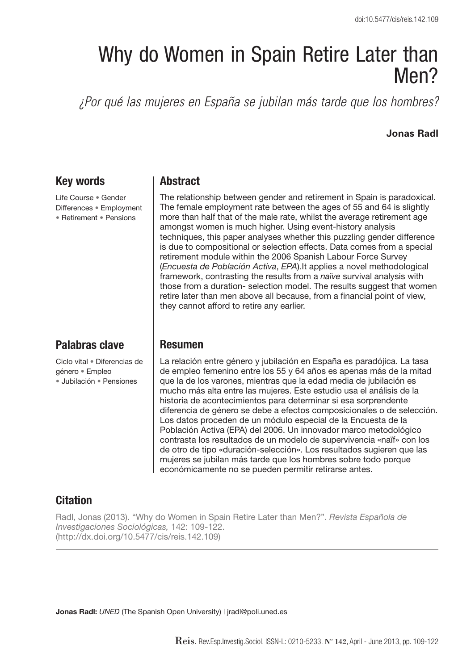# Why do Women in Spain Retire Later than Men?

*¿Por qué las mujeres en España se jubilan más tarde que los hombres?*

#### **Jonas Radl**

## **Key words**

Life Course • Gender Differences • Employment • Retirement • Pensions

# **Palabras clave**

Ciclo vital • Diferencias de género • Empleo • Jubilación • Pensiones

## **Abstract**

The relationship between gender and retirement in Spain is paradoxical. The female employment rate between the ages of 55 and 64 is slightly more than half that of the male rate, whilst the average retirement age amongst women is much higher. Using event-history analysis techniques, this paper analyses whether this puzzling gender difference is due to compositional or selection effects. Data comes from a special retirement module within the 2006 Spanish Labour Force Survey (*Encuesta de Población Activa*, *EPA*).It applies a novel methodological framework, contrasting the results from a *naïve* survival analysis with those from a duration- selection model. The results suggest that women retire later than men above all because, from a financial point of view, they cannot afford to retire any earlier.

## **Resumen**

La relación entre género y jubilación en España es paradójica. La tasa de empleo femenino entre los 55 y 64 años es apenas más de la mitad que la de los varones, mientras que la edad media de jubilación es mucho más alta entre las mujeres. Este estudio usa el análisis de la historia de acontecimientos para determinar si esa sorprendente diferencia de género se debe a efectos composicionales o de selección. Los datos proceden de un módulo especial de la Encuesta de la Población Activa (EPA) del 2006. Un innovador marco metodológico contrasta los resultados de un modelo de supervivencia «naïf» con los de otro de tipo «duración-selección». Los resultados sugieren que las mujeres se jubilan más tarde que los hombres sobre todo porque económicamente no se pueden permitir retirarse antes.

## **Citation**

Radl, Jonas (2013). "Why do Women in Spain Retire Later than Men?". *Revista Española de Investigaciones Sociológicas,* 142: 109-122. (http://dx.doi.org/10.5477/cis/reis.142.109)

**Jonas Radl:** *UNED* (The Spanish Open University) | jradl@poli.uned.es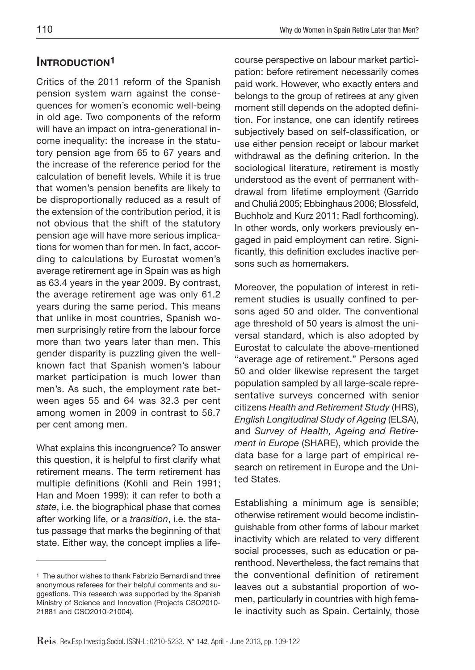# **Introduction1**

Critics of the 2011 reform of the Spanish pension system warn against the consequences for women's economic well-being in old age. Two components of the reform will have an impact on intra-generational income inequality: the increase in the statutory pension age from 65 to 67 years and the increase of the reference period for the calculation of benefit levels. While it is true that women's pension benefits are likely to be disproportionally reduced as a result of the extension of the contribution period, it is not obvious that the shift of the statutory pension age will have more serious implications for women than for men. In fact, according to calculations by Eurostat women's average retirement age in Spain was as high as 63.4 years in the year 2009. By contrast, the average retirement age was only 61.2 years during the same period. This means that unlike in most countries, Spanish women surprisingly retire from the labour force more than two years later than men. This gender disparity is puzzling given the wellknown fact that Spanish women's labour market participation is much lower than men's. As such, the employment rate between ages 55 and 64 was 32.3 per cent among women in 2009 in contrast to 56.7 per cent among men.

What explains this incongruence? To answer this question, it is helpful to first clarify what retirement means. The term retirement has multiple definitions (Kohli and Rein 1991; Han and Moen 1999): it can refer to both a *state*, i.e. the biographical phase that comes after working life, or a *transition*, i.e. the status passage that marks the beginning of that state. Either way, the concept implies a lifecourse perspective on labour market participation: before retirement necessarily comes paid work. However, who exactly enters and belongs to the group of retirees at any given moment still depends on the adopted definition. For instance, one can identify retirees subjectively based on self-classification, or use either pension receipt or labour market withdrawal as the defining criterion. In the sociological literature, retirement is mostly understood as the event of permanent withdrawal from lifetime employment (Garrido and Chuliá 2005; Ebbinghaus 2006; Blossfeld, Buchholz and Kurz 2011; Radl forthcoming). In other words, only workers previously engaged in paid employment can retire. Significantly, this definition excludes inactive persons such as homemakers.

Moreover, the population of interest in retirement studies is usually confined to persons aged 50 and older. The conventional age threshold of 50 years is almost the universal standard, which is also adopted by Eurostat to calculate the above-mentioned "average age of retirement." Persons aged 50 and older likewise represent the target population sampled by all large-scale representative surveys concerned with senior citizens *Health and Retirement Study* (HRS), *English Longitudinal Study of Ageing* (ELSA), and *Survey of Health, Ageing and Retirement in Europe* (SHARE), which provide the data base for a large part of empirical research on retirement in Europe and the United States.

Establishing a minimum age is sensible; otherwise retirement would become indistinguishable from other forms of labour market inactivity which are related to very different social processes, such as education or parenthood. Nevertheless, the fact remains that the conventional definition of retirement leaves out a substantial proportion of women, particularly in countries with high female inactivity such as Spain. Certainly, those

<sup>1</sup> The author wishes to thank Fabrizio Bernardi and three anonymous referees for their helpful comments and suggestions. This research was supported by the Spanish Ministry of Science and Innovation (Projects CSO2010- 21881 and CSO2010-21004).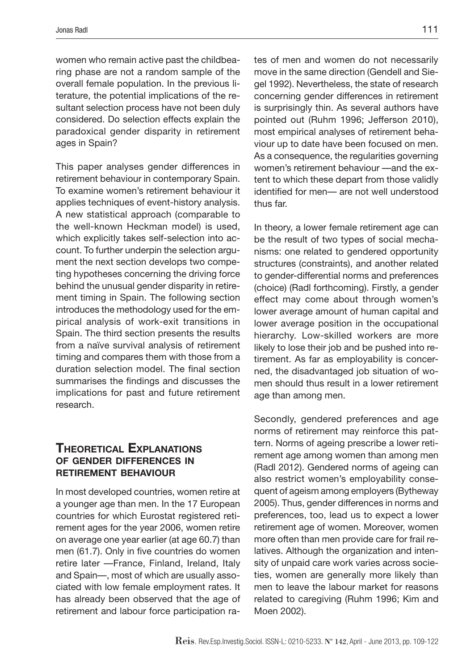women who remain active past the childbearing phase are not a random sample of the overall female population. In the previous literature, the potential implications of the resultant selection process have not been duly considered. Do selection effects explain the paradoxical gender disparity in retirement ages in Spain?

This paper analyses gender differences in retirement behaviour in contemporary Spain. To examine women's retirement behaviour it applies techniques of event-history analysis. A new statistical approach (comparable to the well-known Heckman model) is used, which explicitly takes self-selection into account. To further underpin the selection argument the next section develops two competing hypotheses concerning the driving force behind the unusual gender disparity in retirement timing in Spain. The following section introduces the methodology used for the empirical analysis of work-exit transitions in Spain. The third section presents the results from a naïve survival analysis of retirement timing and compares them with those from a duration selection model. The final section summarises the findings and discusses the implications for past and future retirement research.

## **Theoretical Explanations of gender differences in retirement behaviour**

In most developed countries, women retire at a younger age than men. In the 17 European countries for which Eurostat registered retirement ages for the year 2006, women retire on average one year earlier (at age 60.7) than men (61.7). Only in five countries do women retire later —France, Finland, Ireland, Italy and Spain—, most of which are usually associated with low female employment rates. It has already been observed that the age of retirement and labour force participation rates of men and women do not necessarily move in the same direction (Gendell and Siegel 1992). Nevertheless, the state of research concerning gender differences in retirement is surprisingly thin. As several authors have pointed out (Ruhm 1996; Jefferson 2010), most empirical analyses of retirement behaviour up to date have been focused on men. As a consequence, the regularities governing women's retirement behaviour —and the extent to which these depart from those validly identified for men— are not well understood thus far.

In theory, a lower female retirement age can be the result of two types of social mechanisms: one related to gendered opportunity structures (constraints), and another related to gender-differential norms and preferences (choice) (Radl forthcoming). Firstly, a gender effect may come about through women's lower average amount of human capital and lower average position in the occupational hierarchy. Low-skilled workers are more likely to lose their job and be pushed into retirement. As far as employability is concerned, the disadvantaged job situation of women should thus result in a lower retirement age than among men.

Secondly, gendered preferences and age norms of retirement may reinforce this pattern. Norms of ageing prescribe a lower retirement age among women than among men (Radl 2012). Gendered norms of ageing can also restrict women's employability consequent of ageism among employers (Bytheway 2005). Thus, gender differences in norms and preferences, too, lead us to expect a lower retirement age of women. Moreover, women more often than men provide care for frail relatives. Although the organization and intensity of unpaid care work varies across societies, women are generally more likely than men to leave the labour market for reasons related to caregiving (Ruhm 1996; Kim and Moen 2002).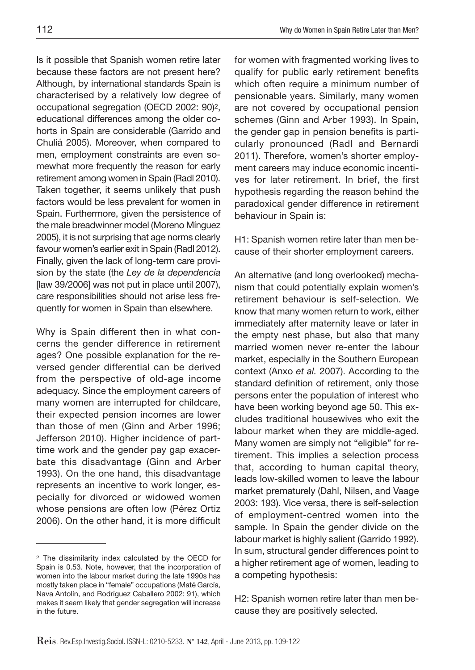Is it possible that Spanish women retire later because these factors are not present here? Although, by international standards Spain is characterised by a relatively low degree of occupational segregation (OECD 2002: 90)2, educational differences among the older cohorts in Spain are considerable (Garrido and Chuliá 2005). Moreover, when compared to men, employment constraints are even somewhat more frequently the reason for early retirement among women in Spain (Radl 2010). Taken together, it seems unlikely that push factors would be less prevalent for women in Spain. Furthermore, given the persistence of the male breadwinner model (Moreno Mínguez 2005), it is not surprising that age norms clearly favour women's earlier exit in Spain (Radl 2012). Finally, given the lack of long-term care provision by the state (the *Ley de la dependencia* [law 39/2006] was not put in place until 2007), care responsibilities should not arise less frequently for women in Spain than elsewhere.

Why is Spain different then in what concerns the gender difference in retirement ages? One possible explanation for the reversed gender differential can be derived from the perspective of old-age income adequacy. Since the employment careers of many women are interrupted for childcare, their expected pension incomes are lower than those of men (Ginn and Arber 1996; Jefferson 2010). Higher incidence of parttime work and the gender pay gap exacerbate this disadvantage (Ginn and Arber 1993). On the one hand, this disadvantage represents an incentive to work longer, especially for divorced or widowed women whose pensions are often low (Pérez Ortiz 2006). On the other hand, it is more difficult

for women with fragmented working lives to qualify for public early retirement benefits which often require a minimum number of pensionable years. Similarly, many women are not covered by occupational pension schemes (Ginn and Arber 1993). In Spain, the gender gap in pension benefits is particularly pronounced (Radl and Bernardi 2011). Therefore, women's shorter employment careers may induce economic incentives for later retirement. In brief, the first hypothesis regarding the reason behind the paradoxical gender difference in retirement behaviour in Spain is:

H1: Spanish women retire later than men because of their shorter employment careers.

An alternative (and long overlooked) mechanism that could potentially explain women's retirement behaviour is self-selection. We know that many women return to work, either immediately after maternity leave or later in the empty nest phase, but also that many married women never re-enter the labour market, especially in the Southern European context (Anxo *et al.* 2007). According to the standard definition of retirement, only those persons enter the population of interest who have been working beyond age 50. This excludes traditional housewives who exit the labour market when they are middle-aged. Many women are simply not "eligible" for retirement. This implies a selection process that, according to human capital theory, leads low-skilled women to leave the labour market prematurely (Dahl, Nilsen, and Vaage 2003: 193). Vice versa, there is self-selection of employment-centred women into the sample. In Spain the gender divide on the labour market is highly salient (Garrido 1992). In sum, structural gender differences point to a higher retirement age of women, leading to a competing hypothesis:

H2: Spanish women retire later than men because they are positively selected.

<sup>2</sup> The dissimilarity index calculated by the OECD for Spain is 0.53. Note, however, that the incorporation of women into the labour market during the late 1990s has mostly taken place in "female" occupations (Maté García, Nava Antolín, and Rodríguez Caballero 2002: 91), which makes it seem likely that gender segregation will increase in the future.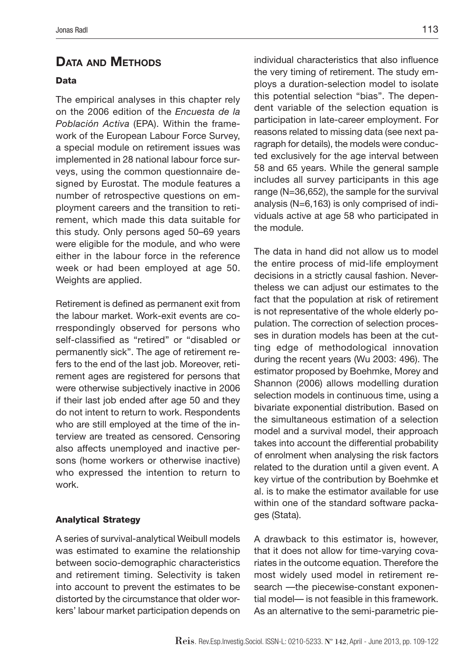# **Data and Methods**

#### Data

The empirical analyses in this chapter rely on the 2006 edition of the *Encuesta de la Población Activa* (EPA). Within the framework of the European Labour Force Survey, a special module on retirement issues was implemented in 28 national labour force surveys, using the common questionnaire designed by Eurostat. The module features a number of retrospective questions on employment careers and the transition to retirement, which made this data suitable for this study. Only persons aged 50–69 years were eligible for the module, and who were either in the labour force in the reference week or had been employed at age 50. Weights are applied.

Retirement is defined as permanent exit from the labour market. Work-exit events are correspondingly observed for persons who self-classified as "retired" or "disabled or permanently sick". The age of retirement refers to the end of the last job. Moreover, retirement ages are registered for persons that were otherwise subjectively inactive in 2006 if their last job ended after age 50 and they do not intent to return to work. Respondents who are still employed at the time of the interview are treated as censored. Censoring also affects unemployed and inactive persons (home workers or otherwise inactive) who expressed the intention to return to work.

#### Analytical Strategy

A series of survival-analytical Weibull models was estimated to examine the relationship between socio-demographic characteristics and retirement timing. Selectivity is taken into account to prevent the estimates to be distorted by the circumstance that older workers' labour market participation depends on

individual characteristics that also influence the very timing of retirement. The study employs a duration-selection model to isolate this potential selection "bias". The dependent variable of the selection equation is participation in late-career employment. For reasons related to missing data (see next paragraph for details), the models were conducted exclusively for the age interval between 58 and 65 years. While the general sample includes all survey participants in this age range (N=36,652), the sample for the survival analysis (N=6,163) is only comprised of individuals active at age 58 who participated in the module.

The data in hand did not allow us to model the entire process of mid-life employment decisions in a strictly causal fashion. Nevertheless we can adjust our estimates to the fact that the population at risk of retirement is not representative of the whole elderly population. The correction of selection processes in duration models has been at the cutting edge of methodological innovation during the recent years (Wu 2003: 496). The estimator proposed by Boehmke, Morey and Shannon (2006) allows modelling duration selection models in continuous time, using a bivariate exponential distribution. Based on the simultaneous estimation of a selection model and a survival model, their approach takes into account the differential probability of enrolment when analysing the risk factors related to the duration until a given event. A key virtue of the contribution by Boehmke et al. is to make the estimator available for use within one of the standard software packages (Stata).

A drawback to this estimator is, however, that it does not allow for time-varying covariates in the outcome equation. Therefore the most widely used model in retirement research —the piecewise-constant exponential model— is not feasible in this framework. As an alternative to the semi-parametric pie-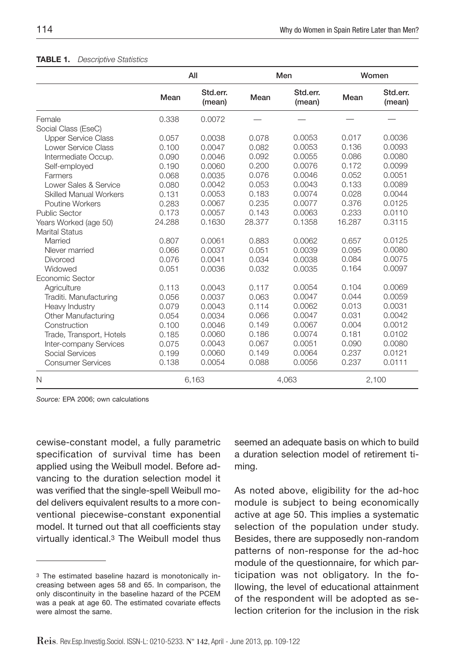|                               |        | All                |        | Men                |        | Women              |
|-------------------------------|--------|--------------------|--------|--------------------|--------|--------------------|
|                               | Mean   | Std.err.<br>(mean) | Mean   | Std.err.<br>(mean) | Mean   | Std.err.<br>(mean) |
| Female                        | 0.338  | 0.0072             |        |                    |        |                    |
| Social Class (EseC)           |        |                    |        |                    |        |                    |
| <b>Upper Service Class</b>    | 0.057  | 0.0038             | 0.078  | 0.0053             | 0.017  | 0.0036             |
| Lower Service Class           | 0.100  | 0.0047             | 0.082  | 0.0053             | 0.136  | 0.0093             |
| Intermediate Occup.           | 0.090  | 0.0046             | 0.092  | 0.0055             | 0.086  | 0.0080             |
| Self-employed                 | 0.190  | 0.0060             | 0.200  | 0.0076             | 0.172  | 0.0099             |
| Farmers                       | 0.068  | 0.0035             | 0.076  | 0.0046             | 0.052  | 0.0051             |
| Lower Sales & Service         | 0.080  | 0.0042             | 0.053  | 0.0043             | 0.133  | 0.0089             |
| <b>Skilled Manual Workers</b> | 0.131  | 0.0053             | 0.183  | 0.0074             | 0.028  | 0.0044             |
| Poutine Workers               | 0.283  | 0.0067             | 0.235  | 0.0077             | 0.376  | 0.0125             |
| Public Sector                 | 0.173  | 0.0057             | 0.143  | 0.0063             | 0.233  | 0.0110             |
| Years Worked (age 50)         | 24.288 | 0.1630             | 28.377 | 0.1358             | 16.287 | 0.3115             |
| <b>Marital Status</b>         |        |                    |        |                    |        |                    |
| Married                       | 0.807  | 0.0061             | 0.883  | 0.0062             | 0.657  | 0.0125             |
| Nlever married                | 0.066  | 0.0037             | 0.051  | 0.0039             | 0.095  | 0.0080             |
| Divorced                      | 0.076  | 0.0041             | 0.034  | 0.0038             | 0.084  | 0.0075             |
| Widowed                       | 0.051  | 0.0036             | 0.032  | 0.0035             | 0.164  | 0.0097             |
| Economic Sector               |        |                    |        |                    |        |                    |
| Agriculture                   | 0.113  | 0.0043             | 0.117  | 0.0054             | 0.104  | 0.0069             |
| Traditi. Manufacturing        | 0.056  | 0.0037             | 0.063  | 0.0047             | 0.044  | 0.0059             |
| Heavy Industry                | 0.079  | 0.0043             | 0.114  | 0.0062             | 0.013  | 0.0031             |
| <b>Other Manufacturing</b>    | 0.054  | 0.0034             | 0.066  | 0.0047             | 0.031  | 0.0042             |
| Construction                  | 0.100  | 0.0046             | 0.149  | 0.0067             | 0.004  | 0.0012             |
| Trade, Transport, Hotels      | 0.185  | 0.0060             | 0.186  | 0.0074             | 0.181  | 0.0102             |
| <b>Inter-company Services</b> | 0.075  | 0.0043             | 0.067  | 0.0051             | 0.090  | 0.0080             |
| Social Services               | 0.199  | 0.0060             | 0.149  | 0.0064             | 0.237  | 0.0121             |
| <b>Consumer Services</b>      | 0.138  | 0.0054             | 0.088  | 0.0056             | 0.237  | 0.0111             |
| N                             |        | 6,163              |        | 4.063              |        | 2,100              |

#### **Table 1.** *Descriptive Statistics*

*Source:* EPA 2006; own calculations

cewise-constant model, a fully parametric specification of survival time has been applied using the Weibull model. Before advancing to the duration selection model it was verified that the single-spell Weibull model delivers equivalent results to a more conventional piecewise-constant exponential model. It turned out that all coefficients stay virtually identical.3 The Weibull model thus seemed an adequate basis on which to build a duration selection model of retirement timing.

As noted above, eligibility for the ad-hoc module is subject to being economically active at age 50. This implies a systematic selection of the population under study. Besides, there are supposedly non-random patterns of non-response for the ad-hoc module of the questionnaire, for which participation was not obligatory. In the following, the level of educational attainment of the respondent will be adopted as selection criterion for the inclusion in the risk

<sup>3</sup> The estimated baseline hazard is monotonically increasing between ages 58 and 65. In comparison, the only discontinuity in the baseline hazard of the PCEM was a peak at age 60. The estimated covariate effects were almost the same.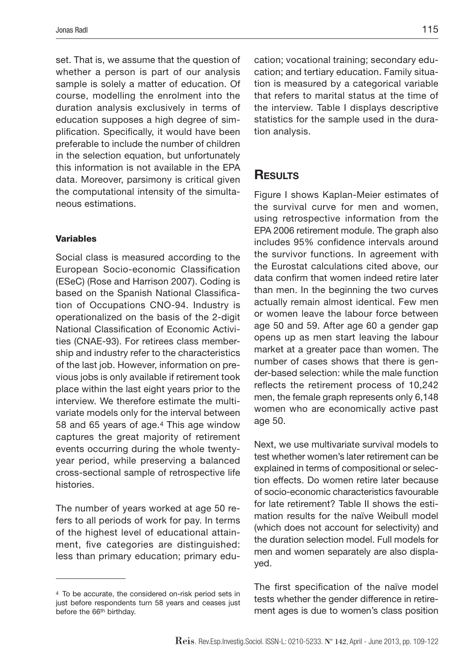set. That is, we assume that the question of whether a person is part of our analysis sample is solely a matter of education. Of course, modelling the enrolment into the duration analysis exclusively in terms of education supposes a high degree of simplification. Specifically, it would have been preferable to include the number of children in the selection equation, but unfortunately this information is not available in the EPA data. Moreover, parsimony is critical given the computational intensity of the simultaneous estimations.

#### Variables

Social class is measured according to the European Socio-economic Classification (ESeC) (Rose and Harrison 2007). Coding is based on the Spanish National Classification of Occupations CNO-94. Industry is operationalized on the basis of the 2-digit National Classification of Economic Activities (CNAE-93). For retirees class membership and industry refer to the characteristics of the last job. However, information on previous jobs is only available if retirement took place within the last eight years prior to the interview. We therefore estimate the multivariate models only for the interval between 58 and 65 years of age.4 This age window captures the great majority of retirement events occurring during the whole twentyyear period, while preserving a balanced cross-sectional sample of retrospective life histories.

The number of years worked at age 50 refers to all periods of work for pay. In terms of the highest level of educational attainment, five categories are distinguished: less than primary education; primary edu-

<sup>4</sup> To be accurate, the considered on-risk period sets in just before respondents turn 58 years and ceases just before the 66th birthday.

cation; vocational training; secondary education; and tertiary education. Family situation is measured by a categorical variable that refers to marital status at the time of the interview. Table I displays descriptive statistics for the sample used in the duration analysis.

# **Results**

Figure I shows Kaplan-Meier estimates of the survival curve for men and women, using retrospective information from the EPA 2006 retirement module. The graph also includes 95% confidence intervals around the survivor functions. In agreement with the Eurostat calculations cited above, our data confirm that women indeed retire later than men. In the beginning the two curves actually remain almost identical. Few men or women leave the labour force between age 50 and 59. After age 60 a gender gap opens up as men start leaving the labour market at a greater pace than women. The number of cases shows that there is gender-based selection: while the male function reflects the retirement process of 10,242 men, the female graph represents only 6,148 women who are economically active past age 50.

Next, we use multivariate survival models to test whether women's later retirement can be explained in terms of compositional or selection effects. Do women retire later because of socio-economic characteristics favourable for late retirement? Table II shows the estimation results for the naïve Weibull model (which does not account for selectivity) and the duration selection model. Full models for men and women separately are also displayed.

The first specification of the naïve model tests whether the gender difference in retirement ages is due to women's class position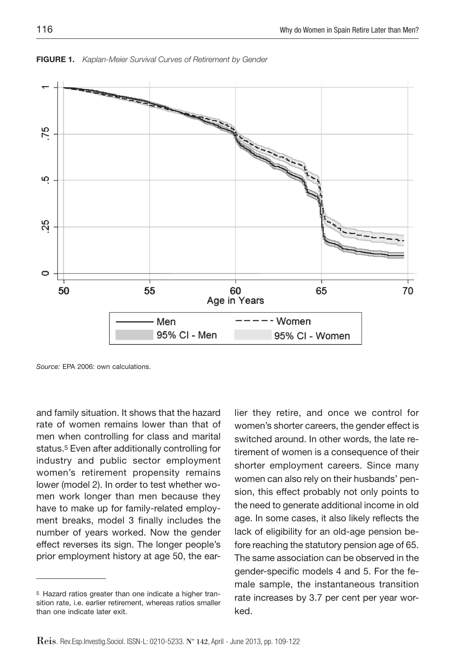

**Figure 1.** *Kaplan-Meier Survival Curves of Retirement by Gender*

*Source:* EPA 2006: own calculations.

and family situation. It shows that the hazard rate of women remains lower than that of men when controlling for class and marital status.5 Even after additionally controlling for industry and public sector employment women's retirement propensity remains lower (model 2). In order to test whether women work longer than men because they have to make up for family-related employment breaks, model 3 finally includes the number of years worked. Now the gender effect reverses its sign. The longer people's prior employment history at age 50, the earlier they retire, and once we control for women's shorter careers, the gender effect is switched around. In other words, the late retirement of women is a consequence of their shorter employment careers. Since many women can also rely on their husbands' pension, this effect probably not only points to the need to generate additional income in old age. In some cases, it also likely reflects the lack of eligibility for an old-age pension before reaching the statutory pension age of 65. The same association can be observed in the gender-specific models 4 and 5. For the female sample, the instantaneous transition rate increases by 3.7 per cent per year worked.

<sup>5</sup> Hazard ratios greater than one indicate a higher transition rate, i.e. earlier retirement, whereas ratios smaller than one indicate later exit.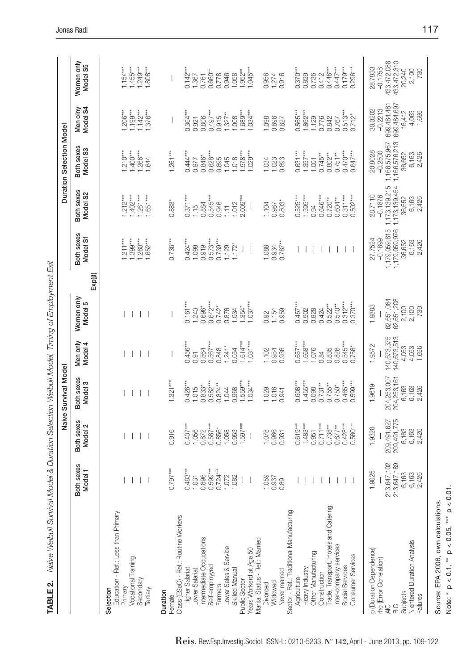|                                                                                                                                                                                                                                  |                                                                            |                                                                                                                   | Naive Survival Model                                                                                     |                                                                                                     |                                                                                                                                   | Model & Duration Selection Weibull Model, Timing of Employment Exit |                                                                                    |                                                                                                    | Duration Selection Model                                                                             |                                                                                                     |                                                                                                  |
|----------------------------------------------------------------------------------------------------------------------------------------------------------------------------------------------------------------------------------|----------------------------------------------------------------------------|-------------------------------------------------------------------------------------------------------------------|----------------------------------------------------------------------------------------------------------|-----------------------------------------------------------------------------------------------------|-----------------------------------------------------------------------------------------------------------------------------------|---------------------------------------------------------------------|------------------------------------------------------------------------------------|----------------------------------------------------------------------------------------------------|------------------------------------------------------------------------------------------------------|-----------------------------------------------------------------------------------------------------|--------------------------------------------------------------------------------------------------|
|                                                                                                                                                                                                                                  | Both sexes<br>Model 1                                                      | Both sexes<br>Model 2                                                                                             | Both sexes<br>Model 3                                                                                    | Men only<br>Model 4                                                                                 | Women only<br>Model 5                                                                                                             | $Exp(\beta)$                                                        | Both sexes<br>Model S1                                                             | Both sexes<br>Model <sub>S2</sub>                                                                  | Both sexes<br>Model S3                                                                               | Men olny<br>Model S4                                                                                | Women only<br>Model <sub>S5</sub>                                                                |
| Education - Ref.: Less than Primary<br><b>Vocational Training</b><br>Secondary<br>Primary<br>Tertiary<br>Selection                                                                                                               |                                                                            |                                                                                                                   |                                                                                                          | $\overline{\phantom{a}}$                                                                            |                                                                                                                                   |                                                                     | $1.399***$<br>$1.260***$<br>$1.652***$<br>$211***$                                 | $1.402***$<br>$1.261***$<br>$.212***$<br>$.651***$                                                 | $1.400***$<br>$1.266***$<br>$.210***$<br>1.644                                                       | $1.199***$<br>$1.142***$<br>$1.376***$<br>$.206***$                                                 | $1.455***$<br>$1.249***$<br>$1.808***$<br>$.154***$                                              |
| Class (ESeC) - Ref .: Routine Workers<br>Duration<br>Female                                                                                                                                                                      | $0.797***$                                                                 | 0.916                                                                                                             | $1.321***$                                                                                               |                                                                                                     |                                                                                                                                   |                                                                     | $0.736***$                                                                         | $0.883*$                                                                                           | $1.261***$                                                                                           |                                                                                                     |                                                                                                  |
| ntermediate Occupations<br>Marital Status - Ref.: Married<br>Lower Sales & Service<br>Years Workerd at Age 50<br>Self-employyed<br><b>Higher Salariat</b><br>Lower Salariat<br>Skilled Manual<br><b>Public Sector</b><br>Farmers | $0.599***$<br>$0.483***$<br>$0.724***$<br>0.896<br>1.072<br>1.082<br>1.031 | $0.587***$<br>$0.437***$<br>$\begin{array}{c} 1.058 \\ 0.953 \\ 1.597*** \end{array}$<br>0.856*<br>1.056<br>0.872 | $0.426***$<br>$0.582***$<br>$1.034***$<br>$1.559***$<br>$0.824**$<br>$0.833*$<br>1.015<br>1.044<br>0.968 | $0.456***$<br>$0.567***$<br>$1.614***$<br>$1.031***$<br>$1.241*$<br>0.848<br>0.864<br>0.054<br>0.91 | $0.642***$<br>$0.161***$<br>$\begin{array}{c} 1.034 \\ 1.354^* \\ 1.037*** \end{array}$<br>$0.698*$<br>$0.742*$<br>1.243<br>0.876 |                                                                     | $0.573***$<br>$0.424***$<br>$0.739***$<br>$1.172*$<br>0.919<br>1.099<br>1.129      | $0.545***$<br>$0.371***$<br>$2.009***$<br>0.884<br>0.946<br>1.012<br>1.15<br>1.11                  | $0.444***$<br>$0.628***$<br>$1.578***$<br>$1.029***$<br>$0.846*$<br>0.895<br>1.045<br>1.018<br>0.977 | $0.364***$<br>$0.497***$<br>1.689***<br>$1.034***$<br>$1.327**$<br>0.915<br>0.806<br>1.008<br>0.921 | $0.142***$<br>$1.045***$<br>$0.660***$<br>$1.952***$<br>0.778<br>0.946<br>.058<br>1.367<br>0.761 |
| Never married<br>Widowed<br>Divorced                                                                                                                                                                                             | 1.059<br>0.937<br>0.89                                                     | 1.078<br>0.986<br>0.931                                                                                           | 1.016<br>1.029<br>0.941                                                                                  | 0.936<br>1.102<br>0.954                                                                             | 1.154<br>0.959<br>0.92                                                                                                            |                                                                     | $0.767***$<br>1.088<br>0.934                                                       | $0.803*$<br>1.104<br>0.987                                                                         | 1.023<br>0.893<br>1.034                                                                              | 1.098<br>0.896<br>0.827                                                                             | 0.956<br>1.274<br>0.916                                                                          |
| Trade, Transport, Hotels and Catering<br>Sector - Ref .: Traditional Manufacturing<br>Inter-company services<br>Other Manufacturing<br>Consumer Services<br>Social Services<br>Heavy Industry<br>Construction<br>Agriculture     |                                                                            | $0.619***$<br>$0.711***$<br>$0.428***$<br>$1.483***$<br>$0.560***$<br>$0.738***$<br>$0.677***$<br>0.951           | $0.608***$<br>$1.455***$<br>$0.465***$<br>$0.599***$<br>$0.731**$<br>$0.755**$<br>$0.750*$<br>0.098      | $0.657***$<br>$1.668***$<br>$0.545***$<br>$0.756*$<br>1.076<br>0.835<br>0.826<br>0.84               | $0.312***$<br>$0.457***$<br>$0.370***$<br>$0.522***$<br>$0.540**$<br>0.902<br>0.828<br>0.424                                      |                                                                     |                                                                                    | $0.525***$<br>1.595***<br>$0.646***$<br>$0.311***$<br>$0.502***$<br>$0.720**$<br>$0.604**$<br>0.94 | $0.631***$<br>$0.470***$<br>$1.357***$<br>$0.647***$<br>$0.751**$<br>$0.745**$<br>$0.802**$<br>1.001 | $0.565***$<br>$1.862***$<br>$0.513***$<br>$0.712**$<br>0.776<br>1.129<br>0.842<br>0.767             | $0.446***$<br>$0.447***$<br>$0.179***$<br>$0.370***$<br>$0.296***$<br>0.736<br>0.829<br>0.412    |
| N entered Duration Analysis<br>p (Duration Dependence)<br>tho (Error Correlation)<br>Subjects<br>Failures<br>$\frac{C}{D}$<br>$rac{C}{4}$                                                                                        | 213,647,102<br>213,647,189<br>1.9025<br>6,163<br>6,163<br>2,426            | 209,491,627<br>209,491,775<br>1.9328<br>6,163<br>6,163<br>2,426                                                   | 204,253,007<br>204,253,161<br>1.9619<br>6,163<br>6,163<br>2,426                                          | 140,673,375<br>140,673,513<br>1.9572<br>4,063<br>4,063<br>1,696                                     | 62,651,208<br>62,651,084<br>1.9883<br>$2,100$<br>$2,100$<br>730                                                                   |                                                                     | 1,179,059,976<br>1,179,059,815<br>27.7524<br>$-0.1899$<br>6,163<br>2,426<br>36,652 | 1,173,139,215<br>1,173,139,454<br>28.7110<br>$-0.1876$<br>6,163<br>2,426<br>36,652                 | 1,166,575,967<br>1,166,576,213<br>20.8028<br>$-0.2500$<br>6,163<br>2,426<br>36,652                   | 699,484,481<br>699,484,697<br>$-0.2213$<br>30.0202<br>16,412<br>4,063<br>1,696                      | 433,472,310<br>433,472,088<br>28.7833<br>$-0.1758$<br>20,240<br>2,100<br>730                     |

Note:  $* p < 0.1$ ,  $* p < 0.05$ ,  $** p < 0.01$ . Note: \* p < 0.1, \*\* p < 0.05, \*\*\* p < 0.01.Source: EPA 2006, own calculations. Source: EPA 2006, own calculations.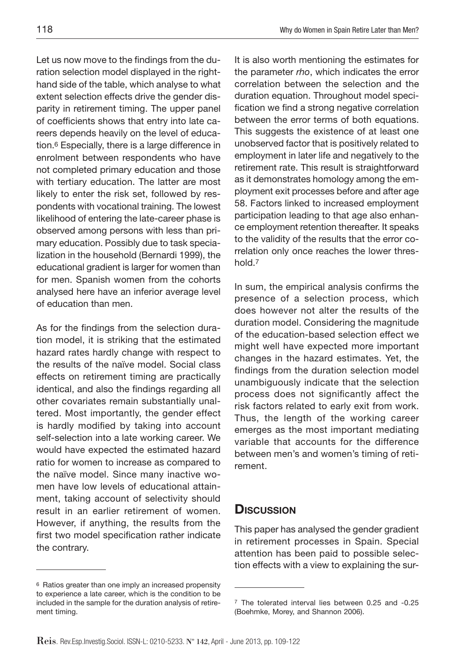Let us now move to the findings from the duration selection model displayed in the righthand side of the table, which analyse to what extent selection effects drive the gender disparity in retirement timing. The upper panel of coefficients shows that entry into late careers depends heavily on the level of education.6 Especially, there is a large difference in enrolment between respondents who have not completed primary education and those with tertiary education. The latter are most likely to enter the risk set, followed by respondents with vocational training. The lowest likelihood of entering the late-career phase is observed among persons with less than primary education. Possibly due to task specialization in the household (Bernardi 1999), the educational gradient is larger for women than for men. Spanish women from the cohorts analysed here have an inferior average level of education than men.

As for the findings from the selection duration model, it is striking that the estimated hazard rates hardly change with respect to the results of the naïve model. Social class effects on retirement timing are practically identical, and also the findings regarding all other covariates remain substantially unaltered. Most importantly, the gender effect is hardly modified by taking into account self-selection into a late working career. We would have expected the estimated hazard ratio for women to increase as compared to the naïve model. Since many inactive women have low levels of educational attainment, taking account of selectivity should result in an earlier retirement of women. However, if anything, the results from the first two model specification rather indicate the contrary.

It is also worth mentioning the estimates for the parameter *rho*, which indicates the error correlation between the selection and the duration equation. Throughout model specification we find a strong negative correlation between the error terms of both equations. This suggests the existence of at least one unobserved factor that is positively related to employment in later life and negatively to the retirement rate. This result is straightforward as it demonstrates homology among the employment exit processes before and after age 58. Factors linked to increased employment participation leading to that age also enhance employment retention thereafter. It speaks to the validity of the results that the error correlation only once reaches the lower threshold.7

In sum, the empirical analysis confirms the presence of a selection process, which does however not alter the results of the duration model. Considering the magnitude of the education-based selection effect we might well have expected more important changes in the hazard estimates. Yet, the findings from the duration selection model unambiguously indicate that the selection process does not significantly affect the risk factors related to early exit from work. Thus, the length of the working career emerges as the most important mediating variable that accounts for the difference between men's and women's timing of retirement.

# **Discussion**

This paper has analysed the gender gradient in retirement processes in Spain. Special attention has been paid to possible selection effects with a view to explaining the sur-

<sup>6</sup> Ratios greater than one imply an increased propensity to experience a late career, which is the condition to be included in the sample for the duration analysis of retirement timing.

<sup>7</sup> The tolerated interval lies between 0.25 and -0.25 (Boehmke, Morey, and Shannon 2006).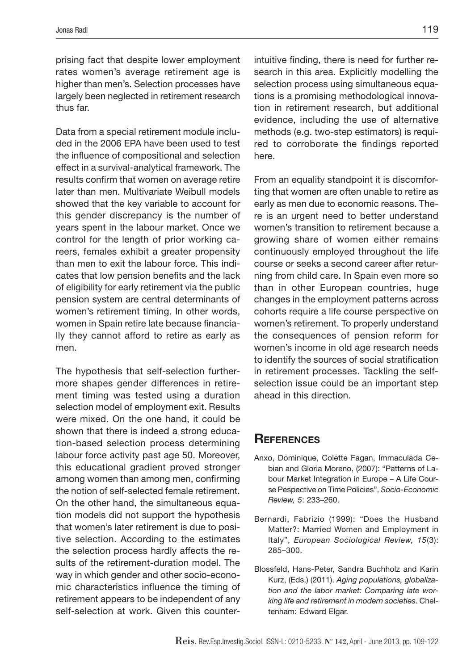prising fact that despite lower employment rates women's average retirement age is higher than men's. Selection processes have largely been neglected in retirement research thus far.

Data from a special retirement module included in the 2006 EPA have been used to test the influence of compositional and selection effect in a survival-analytical framework. The results confirm that women on average retire later than men. Multivariate Weibull models showed that the key variable to account for this gender discrepancy is the number of years spent in the labour market. Once we control for the length of prior working careers, females exhibit a greater propensity than men to exit the labour force. This indicates that low pension benefits and the lack of eligibility for early retirement via the public pension system are central determinants of women's retirement timing. In other words, women in Spain retire late because financially they cannot afford to retire as early as men.

The hypothesis that self-selection furthermore shapes gender differences in retirement timing was tested using a duration selection model of employment exit. Results were mixed. On the one hand, it could be shown that there is indeed a strong education-based selection process determining labour force activity past age 50. Moreover, this educational gradient proved stronger among women than among men, confirming the notion of self-selected female retirement. On the other hand, the simultaneous equation models did not support the hypothesis that women's later retirement is due to positive selection. According to the estimates the selection process hardly affects the results of the retirement-duration model. The way in which gender and other socio-economic characteristics influence the timing of retirement appears to be independent of any self-selection at work. Given this counter-

intuitive finding, there is need for further research in this area. Explicitly modelling the selection process using simultaneous equations is a promising methodological innovation in retirement research, but additional evidence, including the use of alternative methods (e.g. two-step estimators) is required to corroborate the findings reported here.

From an equality standpoint it is discomforting that women are often unable to retire as early as men due to economic reasons. There is an urgent need to better understand women's transition to retirement because a growing share of women either remains continuously employed throughout the life course or seeks a second career after returning from child care. In Spain even more so than in other European countries, huge changes in the employment patterns across cohorts require a life course perspective on women's retirement. To properly understand the consequences of pension reform for women's income in old age research needs to identify the sources of social stratification in retirement processes. Tackling the selfselection issue could be an important step ahead in this direction.

# **References**

- Anxo, Dominique, Colette Fagan, Immaculada Cebian and Gloria Moreno, (2007): "Patterns of Labour Market Integration in Europe – A Life Course Pespective on Time Policies", *Socio-Economic Review, 5*: 233–260.
- Bernardi, Fabrizio (1999): "Does the Husband Matter?: Married Women and Employment in Italy", *European Sociological Review, 15*(3): 285–300.
- Blossfeld, Hans-Peter, Sandra Buchholz and Karin Kurz, (Eds.) (2011). *Aging populations, globalization and the labor market: Comparing late working life and retirement in modern societies*. Cheltenham: Edward Elgar.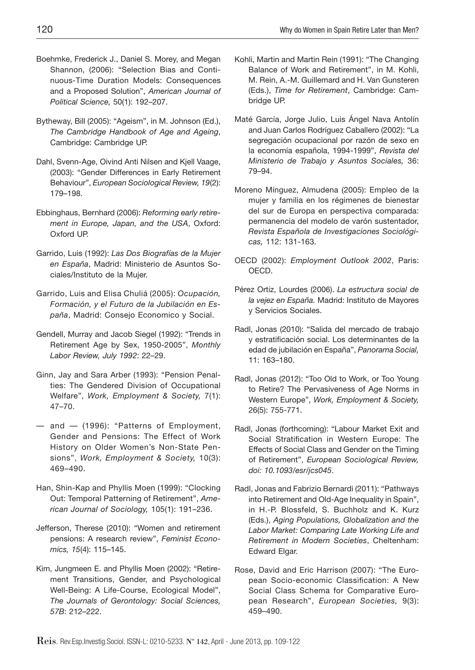- Boehmke, Frederick J., Daniel S. Morey, and Megan Shannon, (2006): "Selection Bias and Continuous-Time Duration Models: Consequences and a Proposed Solution", *American Journal of Political Science,* 50(1): 192–207.
- Bytheway, Bill (2005): "Ageism", in M. Johnson (Ed.), *The Cambridge Handbook of Age and Ageing*, Cambridge: Cambridge UP.
- Dahl, Svenn-Age, Oivind Anti Nilsen and Kjell Vaage, (2003): "Gender Differences in Early Retirement Behaviour", *European Sociological Review, 19*(2): 179–198.
- Ebbinghaus, Bernhard (2006): *Reforming early retirement in Europe, Japan, and the USA*, Oxford: Oxford UP.
- Garrido, Luis (1992): *Las Dos Biografías de la Mujer en España*, Madrid: Ministerio de Asuntos Sociales/Instituto de la Mujer.
- Garrido, Luis and Elisa Chuliá (2005): *Ocupación, Formación, y el Futuro de la Jubilación en España*, Madrid: Consejo Economico y Social.
- Gendell, Murray and Jacob Siegel (1992): "Trends in Retirement Age by Sex, 1950-2005", *Monthly Labor Review, July 1992*: 22–29.
- Ginn, Jay and Sara Arber (1993): "Pension Penalties: The Gendered Division of Occupational Welfare", *Work, Employment & Society,* 7(1): 47–70.
- and (1996): "Patterns of Employment, Gender and Pensions: The Effect of Work History on Older Women's Non-State Pensions", *Work, Employment & Society,* 10(3): 469–490.
- Han, Shin-Kap and Phyllis Moen (1999): "Clocking Out: Temporal Patterning of Retirement", *American Journal of Sociology,* 105(1): 191–236.
- Jefferson, Therese (2010): "Women and retirement pensions: A research review", *Feminist Economics, 15*(4): 115–145.
- Kim, Jungmeen E. and Phyllis Moen (2002): "Retirement Transitions, Gender, and Psychological Well-Being: A Life-Course, Ecological Model", *The Journals of Gerontology: Social Sciences, 57B*: 212–222.
- Kohli, Martin and Martin Rein (1991): "The Changing Balance of Work and Retirement", in M. Kohli, M. Rein, A.-M. Guillemard and H. Van Gunsteren (Eds.), *Time for Retirement*, Cambridge: Cambridge UP.
- Maté García, Jorge Julio, Luis Ángel Nava Antolín and Juan Carlos Rodríguez Caballero (2002): "La segregación ocupacional por razón de sexo en la economía española, 1994-1999", *Revista del Ministerio de Trabajo y Asuntos Sociales,* 36: 79–94.
- Moreno Mínguez, Almudena (2005): Empleo de la mujer y familia en los régimenes de bienestar del sur de Europa en perspectiva comparada: permanencia del modelo de varón sustentador, *Revista Española de Investigaciones Sociológicas,* 112: 131-163.
- OECD (2002): *Employment Outlook 2002*, Paris: OECD.
- Pérez Ortiz, Lourdes (2006). *La estructura social de la vejez en España.* Madrid: Instituto de Mayores y Servicios Sociales.
- Radl, Jonas (2010): "Salida del mercado de trabajo y estratificación social. Los determinantes de la edad de jubilación en España", *Panorama Social,*  11: 163–180.
- Radl, Jonas (2012): "Too Old to Work, or Too Young to Retire? The Pervasiveness of Age Norms in Western Europe", *Work, Employment & Society,*  26(5): 755-771.
- Radl, Jonas (forthcoming): "Labour Market Exit and Social Stratification in Western Europe: The Effects of Social Class and Gender on the Timing of Retirement", *European Sociological Review, doi: 10.1093/esr/jcs045*.
- Radl, Jonas and Fabrizio Bernardi (2011): "Pathways into Retirement and Old-Age Inequality in Spain", in H.-P. Blossfeld, S. Buchholz and K. Kurz (Eds.), *Aging Populations, Globalization and the Labor Market: Comparing Late Working Life and Retirement in Modern Societies*, Cheltenham: Edward Elgar.
- Rose, David and Eric Harrison (2007): "The European Socio-economic Classification: A New Social Class Schema for Comparative European Research", *European Societies,* 9(3): 459–490.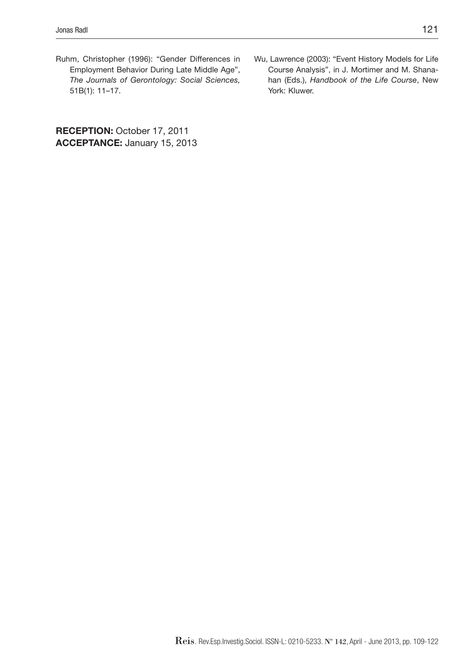Ruhm, Christopher (1996): "Gender Differences in Employment Behavior During Late Middle Age", *The Journals of Gerontology: Social Sciences,*  51B(1): 11–17.

**RECEPTION:** October 17, 2011 **ACCEPTANCE:** January 15, 2013 Wu, Lawrence (2003): "Event History Models for Life Course Analysis", in J. Mortimer and M. Shanahan (Eds.), *Handbook of the Life Course*, New York: Kluwer.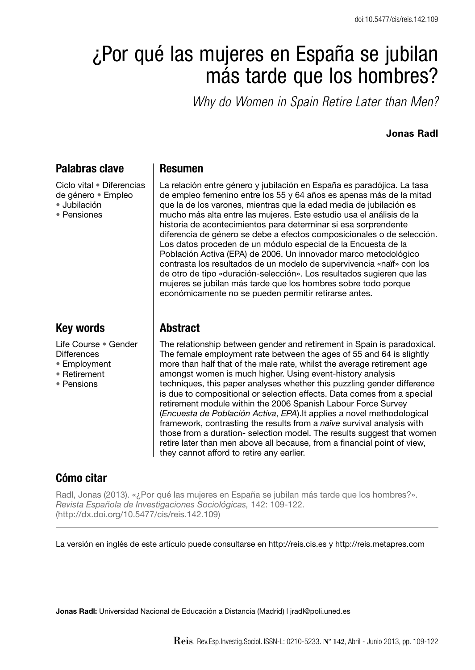# ¿Por qué las mujeres en España se jubilan más tarde que los hombres?

*Why do Women in Spain Retire Later than Men?*

#### **Jonas Radl**

## **Palabras clave**

Ciclo vital • Diferencias de género • Empleo • Jubilación

• Pensiones

## **Key words**

Life Course • Gender **Differences** 

- Employment
- Retirement
- Pensions

## **Resumen**

La relación entre género y jubilación en España es paradójica. La tasa de empleo femenino entre los 55 y 64 años es apenas más de la mitad que la de los varones, mientras que la edad media de jubilación es mucho más alta entre las mujeres. Este estudio usa el análisis de la historia de acontecimientos para determinar si esa sorprendente diferencia de género se debe a efectos composicionales o de selección. Los datos proceden de un módulo especial de la Encuesta de la Población Activa (EPA) de 2006. Un innovador marco metodológico contrasta los resultados de un modelo de supervivencia «naïf» con los de otro de tipo «duración-selección». Los resultados sugieren que las mujeres se jubilan más tarde que los hombres sobre todo porque económicamente no se pueden permitir retirarse antes.

## **Abstract**

The relationship between gender and retirement in Spain is paradoxical. The female employment rate between the ages of 55 and 64 is slightly more than half that of the male rate, whilst the average retirement age amongst women is much higher. Using event-history analysis techniques, this paper analyses whether this puzzling gender difference is due to compositional or selection effects. Data comes from a special retirement module within the 2006 Spanish Labour Force Survey (*Encuesta de Población Activa*, *EPA*).It applies a novel methodological framework, contrasting the results from a *naïve* survival analysis with those from a duration- selection model. The results suggest that women retire later than men above all because, from a financial point of view, they cannot afford to retire any earlier.

# **Cómo citar**

Radl, Jonas (2013). «¿Por qué las mujeres en España se jubilan más tarde que los hombres?». *Revista Española de Investigaciones Sociológicas,* 142: 109-122. (http://dx.doi.org/10.5477/cis/reis.142.109)

La versión en inglés de este artículo puede consultarse en http://reis.cis.es y http://reis.metapres.com

**Jonas Radl:** Universidad Nacional de Educación a Distancia (Madrid) | jradl@poli.uned.es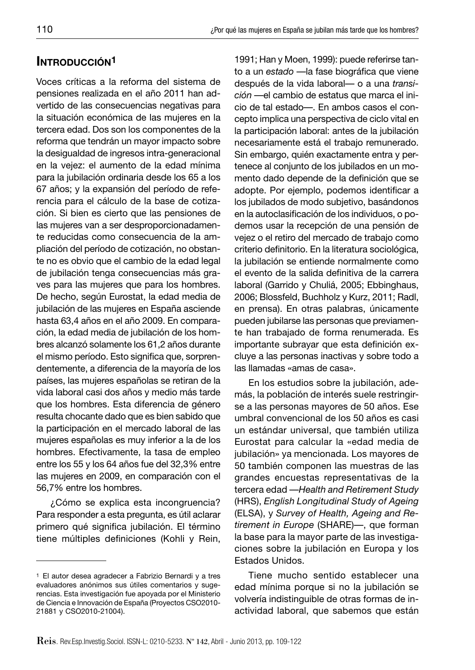# **INTRODUCCIÓN1**

Voces críticas a la reforma del sistema de pensiones realizada en el año 2011 han advertido de las consecuencias negativas para la situación económica de las mujeres en la tercera edad. Dos son los componentes de la reforma que tendrán un mayor impacto sobre la desigualdad de ingresos intra-generacional en la vejez: el aumento de la edad mínima para la jubilación ordinaria desde los 65 a los 67 años; y la expansión del período de referencia para el cálculo de la base de cotización. Si bien es cierto que las pensiones de las mujeres van a ser desproporcionadamente reducidas como consecuencia de la ampliación del período de cotización, no obstante no es obvio que el cambio de la edad legal de jubilación tenga consecuencias más graves para las mujeres que para los hombres. De hecho, según Eurostat, la edad media de jubilación de las mujeres en España asciende hasta 63,4 años en el año 2009. En comparación, la edad media de jubilación de los hombres alcanzó solamente los 61,2 años durante el mismo período. Esto significa que, sorprendentemente, a diferencia de la mayoría de los países, las mujeres españolas se retiran de la vida laboral casi dos años y medio más tarde que los hombres. Esta diferencia de género resulta chocante dado que es bien sabido que la participación en el mercado laboral de las mujeres españolas es muy inferior a la de los hombres. Efectivamente, la tasa de empleo entre los 55 y los 64 años fue del 32,3% entre las mujeres en 2009, en comparación con el 56,7% entre los hombres.

¿Cómo se explica esta incongruencia? Para responder a esta pregunta, es útil aclarar primero qué significa jubilación. El término tiene múltiples definiciones (Kohli y Rein,

1991; Han y Moen, 1999): puede referirse tanto a un estado -la fase biográfica que viene después de la vida laboral— o a una *transición* —el cambio de estatus que marca el inicio de tal estado—. En ambos casos el concepto implica una perspectiva de ciclo vital en la participación laboral: antes de la jubilación necesariamente está el trabajo remunerado. Sin embargo, quién exactamente entra y pertenece al conjunto de los jubilados en un momento dado depende de la definición que se adopte. Por ejemplo, podemos identificar a los jubilados de modo subjetivo, basándonos en la autoclasificación de los individuos, o podemos usar la recepción de una pensión de vejez o el retiro del mercado de trabajo como criterio definitorio. En la literatura sociológica, la jubilación se entiende normalmente como el evento de la salida definitiva de la carrera laboral (Garrido y Chuliá, 2005; Ebbinghaus, 2006; Blossfeld, Buchholz y Kurz, 2011; Radl, en prensa). En otras palabras, únicamente pueden jubilarse las personas que previamente han trabajado de forma renumerada. Es importante subrayar que esta definición excluye a las personas inactivas y sobre todo a las llamadas «amas de casa».

En los estudios sobre la jubilación, además, la población de interés suele restringirse a las personas mayores de 50 años. Ese umbral convencional de los 50 años es casi un estándar universal, que también utiliza Eurostat para calcular la «edad media de jubilación» ya mencionada. Los mayores de 50 también componen las muestras de las grandes encuestas representativas de la tercera edad —*Health and Retirement Study* (HRS), *English Longitudinal Study of Ageing*  (ELSA), y *Survey of Health, Ageing and Retirement in Europe* (SHARE)—, que forman la base para la mayor parte de las investigaciones sobre la jubilación en Europa y los Estados Unidos.

Tiene mucho sentido establecer una edad mínima porque si no la jubilación se volvería indistinguible de otras formas de inactividad laboral, que sabemos que están

<sup>1</sup> El autor desea agradecer a Fabrizio Bernardi y a tres evaluadores anónimos sus útiles comentarios y sugerencias. Esta investigación fue apoyada por el Ministerio de Ciencia e Innovación de España (Proyectos CSO2010- 21881 y CSO2010-21004).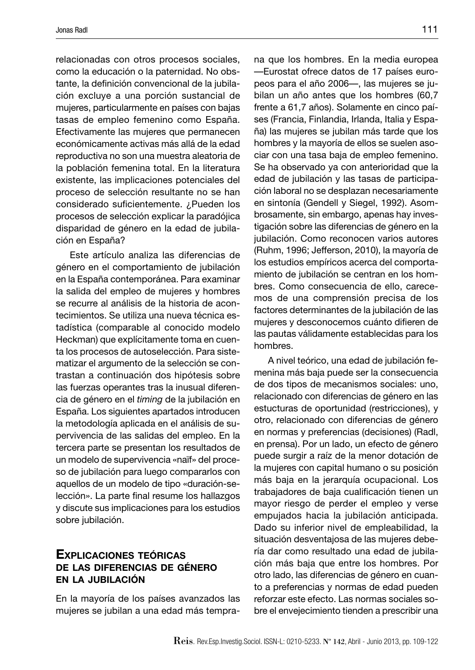relacionadas con otros procesos sociales, como la educación o la paternidad. No obstante, la definición convencional de la jubilación excluye a una porción sustancial de mujeres, particularmente en países con bajas tasas de empleo femenino como España. Efectivamente las mujeres que permanecen económicamente activas más allá de la edad reproductiva no son una muestra aleatoria de la población femenina total. En la literatura existente, las implicaciones potenciales del proceso de selección resultante no se han considerado suficientemente. ¿Pueden los procesos de selección explicar la paradójica disparidad de género en la edad de jubilación en España?

Este artículo analiza las diferencias de género en el comportamiento de jubilación en la España contemporánea. Para examinar la salida del empleo de mujeres y hombres se recurre al análisis de la historia de acontecimientos. Se utiliza una nueva técnica estadística (comparable al conocido modelo Heckman) que explícitamente toma en cuenta los procesos de autoselección. Para sistematizar el argumento de la selección se contrastan a continuación dos hipótesis sobre las fuerzas operantes tras la inusual diferencia de género en el *timing* de la jubilación en España. Los siguientes apartados introducen la metodología aplicada en el análisis de supervivencia de las salidas del empleo. En la tercera parte se presentan los resultados de un modelo de supervivencia «naïf» del proceso de jubilación para luego compararlos con aquellos de un modelo de tipo «duración-selección». La parte final resume los hallazgos y discute sus implicaciones para los estudios sobre jubilación.

### **EXPLICACIONES TEÓRICAS DE LAS DIFERENCIAS DE GÉNERO EN LA JUBILACIÓN**

En la mayoría de los países avanzados las mujeres se jubilan a una edad más temprana que los hombres. En la media europea —Eurostat ofrece datos de 17 países europeos para el año 2006—, las mujeres se jubilan un año antes que los hombres (60,7 frente a 61,7 años). Solamente en cinco países (Francia, Finlandia, Irlanda, Italia y España) las mujeres se jubilan más tarde que los hombres y la mayoría de ellos se suelen asociar con una tasa baja de empleo femenino. Se ha observado ya con anterioridad que la edad de jubilación y las tasas de participación laboral no se desplazan necesariamente en sintonía (Gendell y Siegel, 1992). Asombrosamente, sin embargo, apenas hay investigación sobre las diferencias de género en la jubilación. Como reconocen varios autores (Ruhm, 1996; Jefferson, 2010), la mayoría de los estudios empíricos acerca del comportamiento de jubilación se centran en los hombres. Como consecuencia de ello, carecemos de una comprensión precisa de los factores determinantes de la jubilación de las mujeres y desconocemos cuánto difieren de las pautas válidamente establecidas para los hombres.

A nivel teórico, una edad de jubilación femenina más baja puede ser la consecuencia de dos tipos de mecanismos sociales: uno, relacionado con diferencias de género en las estucturas de oportunidad (restricciones), y otro, relacionado con diferencias de género en normas y preferencias (decisiones) (Radl, en prensa). Por un lado, un efecto de género puede surgir a raíz de la menor dotación de la mujeres con capital humano o su posición más baja en la jerarquía ocupacional. Los trabajadores de baja cualificación tienen un mayor riesgo de perder el empleo y verse empujados hacia la jubilación anticipada. Dado su inferior nivel de empleabilidad, la situación desventajosa de las mujeres debería dar como resultado una edad de jubilación más baja que entre los hombres. Por otro lado, las diferencias de género en cuanto a preferencias y normas de edad pueden reforzar este efecto. Las normas sociales sobre el envejecimiento tienden a prescribir una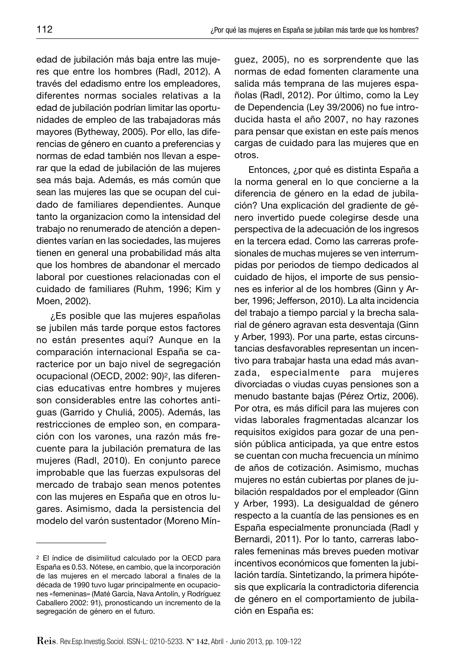edad de jubilación más baja entre las mujeres que entre los hombres (Radl, 2012). A través del edadismo entre los empleadores, diferentes normas sociales relativas a la edad de jubilación podrían limitar las oportunidades de empleo de las trabajadoras más mayores (Bytheway, 2005). Por ello, las diferencias de género en cuanto a preferencias y normas de edad también nos llevan a esperar que la edad de jubilación de las mujeres sea más baja. Además, es más común que sean las mujeres las que se ocupan del cuidado de familiares dependientes. Aunque tanto la organizacion como la intensidad del trabajo no renumerado de atención a dependientes varían en las sociedades, las mujeres tienen en general una probabilidad más alta que los hombres de abandonar el mercado laboral por cuestiones relacionadas con el cuidado de familiares (Ruhm, 1996; Kim y Moen, 2002).

¿Es posible que las mujeres españolas se jubilen más tarde porque estos factores no están presentes aquí? Aunque en la comparación internacional España se caracterice por un bajo nivel de segregación ocupacional (OECD, 2002: 90)2, las diferencias educativas entre hombres y mujeres son considerables entre las cohortes antiguas (Garrido y Chuliá, 2005). Además, las restricciones de empleo son, en comparación con los varones, una razón más frecuente para la jubilación prematura de las mujeres (Radl, 2010). En conjunto parece improbable que las fuerzas expulsoras del mercado de trabajo sean menos potentes con las mujeres en España que en otros lugares. Asimismo, dada la persistencia del modelo del varón sustentador (Moreno Mínguez, 2005), no es sorprendente que las normas de edad fomenten claramente una salida más temprana de las mujeres españolas (Radl, 2012). Por último, como la Ley de Dependencia (Ley 39/2006) no fue introducida hasta el año 2007, no hay razones para pensar que existan en este país menos cargas de cuidado para las mujeres que en otros.

Entonces, ¿por qué es distinta España a la norma general en lo que concierne a la diferencia de género en la edad de jubilación? Una explicación del gradiente de género invertido puede colegirse desde una perspectiva de la adecuación de los ingresos en la tercera edad. Como las carreras profesionales de muchas mujeres se ven interrumpidas por periodos de tiempo dedicados al cuidado de hijos, el importe de sus pensiones es inferior al de los hombres (Ginn y Arber, 1996; Jefferson, 2010). La alta incidencia del trabajo a tiempo parcial y la brecha salarial de género agravan esta desventaja (Ginn y Arber, 1993). Por una parte, estas circunstancias desfavorables representan un incentivo para trabajar hasta una edad más avanzada, especialmente para mujeres divorciadas o viudas cuyas pensiones son a menudo bastante bajas (Pérez Ortiz, 2006). Por otra, es más difícil para las mujeres con vidas laborales fragmentadas alcanzar los requisitos exigidos para gozar de una pensión pública anticipada, ya que entre estos se cuentan con mucha frecuencia un mínimo de años de cotización. Asimismo, muchas mujeres no están cubiertas por planes de jubilación respaldados por el empleador (Ginn y Arber, 1993). La desigualdad de género respecto a la cuantía de las pensiones es en España especialmente pronunciada (Radl y Bernardi, 2011). Por lo tanto, carreras laborales femeninas más breves pueden motivar incentivos económicos que fomenten la jubilación tardía. Sintetizando, la primera hipótesis que explicaría la contradictoria diferencia de género en el comportamiento de jubilación en España es:

<sup>2</sup> El índice de disimilitud calculado por la OECD para España es 0.53. Nótese, en cambio, que la incorporación de las mujeres en el mercado laboral a finales de la década de 1990 tuvo lugar principalmente en ocupaciones «femeninas» (Maté García, Nava Antolín, y Rodríguez Caballero 2002: 91), pronosticando un incremento de la segregación de género en el futuro.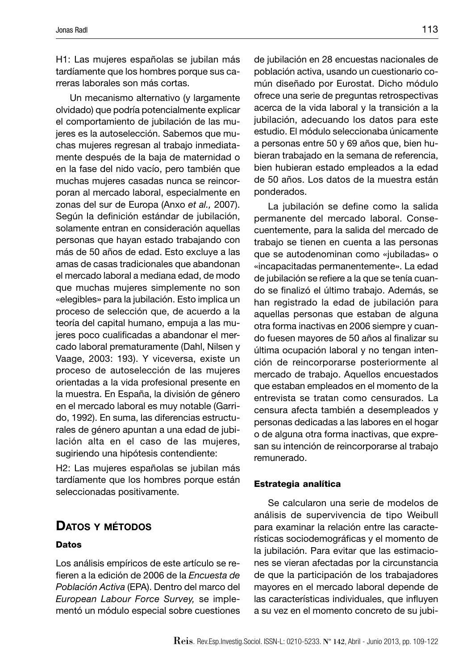H1: Las mujeres españolas se jubilan más tardíamente que los hombres porque sus carreras laborales son más cortas.

Un mecanismo alternativo (y largamente olvidado) que podría potencialmente explicar el comportamiento de jubilación de las mujeres es la autoselección. Sabemos que muchas mujeres regresan al trabajo inmediatamente después de la baja de maternidad o en la fase del nido vacío, pero también que muchas mujeres casadas nunca se reincorporan al mercado laboral, especialmente en zonas del sur de Europa (Anxo *et al.,* 2007). Según la definición estándar de jubilación, solamente entran en consideración aquellas personas que hayan estado trabajando con más de 50 años de edad. Esto excluye a las amas de casas tradicionales que abandonan el mercado laboral a mediana edad, de modo que muchas mujeres simplemente no son «elegibles» para la jubilación. Esto implica un proceso de selección que, de acuerdo a la teoría del capital humano, empuja a las mujeres poco cualificadas a abandonar el mercado laboral prematuramente (Dahl, Nilsen y Vaage, 2003: 193). Y viceversa, existe un proceso de autoselección de las mujeres orientadas a la vida profesional presente en la muestra. En España, la división de género en el mercado laboral es muy notable (Garrido, 1992). En suma, las diferencias estructurales de género apuntan a una edad de jubilación alta en el caso de las mujeres, sugiriendo una hipótesis contendiente:

H2: Las mujeres españolas se jubilan más tardíamente que los hombres porque están seleccionadas positivamente.

# **DATOS <sup>Y</sup> MÉTODOS**

#### **Datos**

Los análisis empíricos de este artículo se refieren a la edición de 2006 de la *Encuesta de Población Activa* (EPA). Dentro del marco del *European Labour Force Survey,* se implementó un módulo especial sobre cuestiones de jubilación en 28 encuestas nacionales de población activa, usando un cuestionario común diseñado por Eurostat. Dicho módulo ofrece una serie de preguntas retrospectivas acerca de la vida laboral y la transición a la jubilación, adecuando los datos para este estudio. El módulo seleccionaba únicamente a personas entre 50 y 69 años que, bien hubieran trabajado en la semana de referencia, bien hubieran estado empleados a la edad de 50 años. Los datos de la muestra están ponderados.

La jubilación se define como la salida permanente del mercado laboral. Consecuentemente, para la salida del mercado de trabajo se tienen en cuenta a las personas que se autodenominan como «jubiladas» o «incapacitadas permanentemente». La edad de jubilación se refiere a la que se tenía cuando se finalizó el último trabajo. Además, se han registrado la edad de jubilación para aquellas personas que estaban de alguna otra forma inactivas en 2006 siempre y cuando fuesen mayores de 50 años al finalizar su última ocupación laboral y no tengan intención de reincorporarse posteriormente al mercado de trabajo. Aquellos encuestados que estaban empleados en el momento de la entrevista se tratan como censurados. La censura afecta también a desempleados y personas dedicadas a las labores en el hogar o de alguna otra forma inactivas, que expresan su intención de reincorporarse al trabajo remunerado.

#### **Estrategia analítica**

Se calcularon una serie de modelos de análisis de supervivencia de tipo Weibull para examinar la relación entre las características sociodemográficas y el momento de la jubilación. Para evitar que las estimaciones se vieran afectadas por la circunstancia de que la participación de los trabajadores mayores en el mercado laboral depende de las características individuales, que influyen a su vez en el momento concreto de su jubi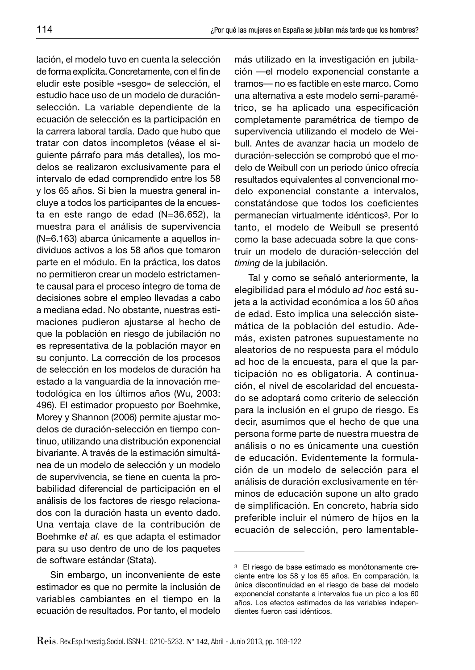lación, el modelo tuvo en cuenta la selección de forma explícita. Concretamente, con el fin de eludir este posible «sesgo» de selección, el estudio hace uso de un modelo de duraciónselección. La variable dependiente de la ecuación de selección es la participación en la carrera laboral tardía. Dado que hubo que tratar con datos incompletos (véase el siguiente párrafo para más detalles), los modelos se realizaron exclusivamente para el intervalo de edad comprendido entre los 58 y los 65 años. Si bien la muestra general incluye a todos los participantes de la encuesta en este rango de edad (N=36.652), la muestra para el análisis de supervivencia (N=6.163) abarca únicamente a aquellos individuos activos a los 58 años que tomaron parte en el módulo. En la práctica, los datos no permitieron crear un modelo estrictamente causal para el proceso íntegro de toma de decisiones sobre el empleo llevadas a cabo a mediana edad. No obstante, nuestras estimaciones pudieron ajustarse al hecho de que la población en riesgo de jubilación no es representativa de la población mayor en su conjunto. La corrección de los procesos de selección en los modelos de duración ha estado a la vanguardia de la innovación metodológica en los últimos años (Wu, 2003: 496). El estimador propuesto por Boehmke, Morey y Shannon (2006) permite ajustar modelos de duración-selección en tiempo continuo, utilizando una distribución exponencial bivariante. A través de la estimación simultánea de un modelo de selección y un modelo de supervivencia, se tiene en cuenta la probabilidad diferencial de participación en el análisis de los factores de riesgo relacionados con la duración hasta un evento dado. Una ventaja clave de la contribución de Boehmke *et al.* es que adapta el estimador para su uso dentro de uno de los paquetes de software estándar (Stata).

Sin embargo, un inconveniente de este estimador es que no permite la inclusión de variables cambiantes en el tiempo en la ecuación de resultados. Por tanto, el modelo

más utilizado en la investigación en jubilación —el modelo exponencial constante a tramos— no es factible en este marco. Como una alternativa a este modelo semi-paramétrico, se ha aplicado una especificación completamente paramétrica de tiempo de supervivencia utilizando el modelo de Weibull. Antes de avanzar hacia un modelo de duración-selección se comprobó que el modelo de Weibull con un periodo único ofrecía resultados equivalentes al convencional modelo exponencial constante a intervalos, constatándose que todos los coeficientes permanecían virtualmente idénticos3. Por lo tanto, el modelo de Weibull se presentó como la base adecuada sobre la que construir un modelo de duración-selección del *timing* de la jubilación.

Tal y como se señaló anteriormente, la elegibilidad para el módulo *ad hoc* está sujeta a la actividad económica a los 50 años de edad. Esto implica una selección sistemática de la población del estudio. Además, existen patrones supuestamente no aleatorios de no respuesta para el módulo ad hoc de la encuesta, para el que la participación no es obligatoria. A continuación, el nivel de escolaridad del encuestado se adoptará como criterio de selección para la inclusión en el grupo de riesgo. Es decir, asumimos que el hecho de que una persona forme parte de nuestra muestra de análisis o no es únicamente una cuestión de educación. Evidentemente la formulación de un modelo de selección para el análisis de duración exclusivamente en términos de educación supone un alto grado de simplificación. En concreto, habría sido preferible incluir el número de hijos en la ecuación de selección, pero lamentable-

<sup>3</sup> El riesgo de base estimado es monótonamente creciente entre los 58 y los 65 años. En comparación, la única discontinuidad en el riesgo de base del modelo exponencial constante a intervalos fue un pico a los 60 años. Los efectos estimados de las variables independientes fueron casi idénticos.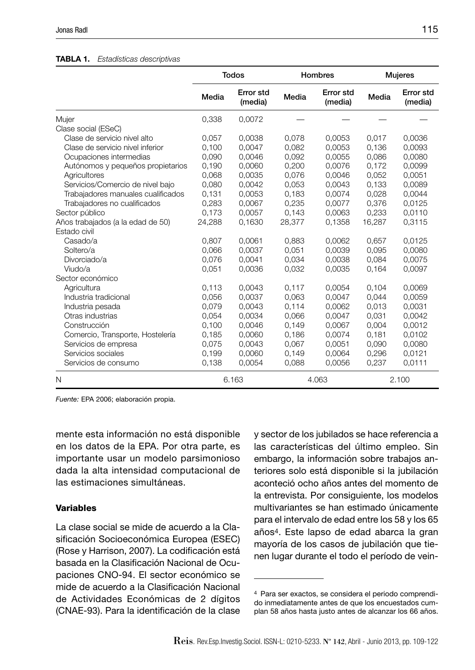#### **TABLA 1.** *Estadísticas descriptivas*

|                                    |        | <b>Todos</b>         |        | Hombres                     |        | <b>Mujeres</b>       |
|------------------------------------|--------|----------------------|--------|-----------------------------|--------|----------------------|
|                                    | Media  | Error std<br>(media) | Media  | <b>Error std</b><br>(media) | Media  | Error std<br>(media) |
| Mujer                              | 0,338  | 0,0072               |        |                             |        |                      |
| Clase social (ESeC)                |        |                      |        |                             |        |                      |
| Clase de servicio nivel alto       | 0,057  | 0,0038               | 0,078  | 0,0053                      | 0,017  | 0,0036               |
| Clase de servicio nivel inferior   | 0,100  | 0,0047               | 0,082  | 0,0053                      | 0,136  | 0,0093               |
| Ocupaciones intermedias            | 0.090  | 0.0046               | 0.092  | 0.0055                      | 0.086  | 0.0080               |
| Autónomos y pequeños propietarios  | 0,190  | 0.0060               | 0,200  | 0.0076                      | 0,172  | 0.0099               |
| Agricultores                       | 0.068  | 0.0035               | 0,076  | 0,0046                      | 0.052  | 0.0051               |
| Servicios/Comercio de nivel bajo   | 0,080  | 0,0042               | 0,053  | 0,0043                      | 0,133  | 0,0089               |
| Trabajadores manuales cualificados | 0,131  | 0,0053               | 0,183  | 0,0074                      | 0,028  | 0,0044               |
| Trabajadores no cualificados       | 0,283  | 0,0067               | 0,235  | 0,0077                      | 0,376  | 0,0125               |
| Sector público                     | 0,173  | 0,0057               | 0,143  | 0,0063                      | 0,233  | 0,0110               |
| Años trabajados (a la edad de 50)  | 24,288 | 0.1630               | 28,377 | 0,1358                      | 16.287 | 0,3115               |
| Estado civil                       |        |                      |        |                             |        |                      |
| Casado/a                           | 0.807  | 0.0061               | 0.883  | 0.0062                      | 0.657  | 0.0125               |
| Soltero/a                          | 0,066  | 0,0037               | 0,051  | 0,0039                      | 0,095  | 0,0080               |
| Divorciado/a                       | 0.076  | 0.0041               | 0.034  | 0.0038                      | 0.084  | 0.0075               |
| Viudo/a                            | 0,051  | 0,0036               | 0,032  | 0,0035                      | 0,164  | 0.0097               |
| Sector económico                   |        |                      |        |                             |        |                      |
| Agricultura                        | 0.113  | 0.0043               | 0.117  | 0.0054                      | 0.104  | 0.0069               |
| Industria tradicional              | 0,056  | 0,0037               | 0,063  | 0,0047                      | 0,044  | 0,0059               |
| Industria pesada                   | 0,079  | 0,0043               | 0,114  | 0,0062                      | 0,013  | 0,0031               |
| Otras industrias                   | 0.054  | 0.0034               | 0,066  | 0.0047                      | 0.031  | 0.0042               |
| Construcción                       | 0,100  | 0,0046               | 0,149  | 0,0067                      | 0,004  | 0,0012               |
| Comercio, Transporte, Hostelería   | 0,185  | 0.0060               | 0,186  | 0.0074                      | 0,181  | 0.0102               |
| Servicios de empresa               | 0,075  | 0,0043               | 0,067  | 0,0051                      | 0,090  | 0,0080               |
| Servicios sociales                 | 0,199  | 0.0060               | 0.149  | 0.0064                      | 0.296  | 0.0121               |
| Servicios de consumo               | 0,138  | 0,0054               | 0,088  | 0,0056                      | 0,237  | 0,0111               |
| N                                  |        | 6.163                |        | 4.063                       |        | 2.100                |

*Fuente:* EPA 2006; elaboración propia.

mente esta información no está disponible en los datos de la EPA. Por otra parte, es importante usar un modelo parsimonioso dada la alta intensidad computacional de las estimaciones simultáneas.

#### **Variables**

La clase social se mide de acuerdo a la Clasificación Socioeconómica Europea (ESEC) (Rose y Harrison, 2007). La codificación está basada en la Clasificación Nacional de Ocupaciones CNO-94. El sector económico se mide de acuerdo a la Clasificación Nacional de Actividades Económicas de 2 dígitos (CNAE-93). Para la identificación de la clase y sector de los jubilados se hace referencia a las características del último empleo. Sin embargo, la información sobre trabajos anteriores solo está disponible si la jubilación aconteció ocho años antes del momento de la entrevista. Por consiguiente, los modelos multivariantes se han estimado únicamente para el intervalo de edad entre los 58 y los 65 años4. Este lapso de edad abarca la gran mayoría de los casos de jubilación que tienen lugar durante el todo el período de vein-

<sup>4</sup> Para ser exactos, se considera el periodo comprendido inmediatamente antes de que los encuestados cumplan 58 años hasta justo antes de alcanzar los 66 años.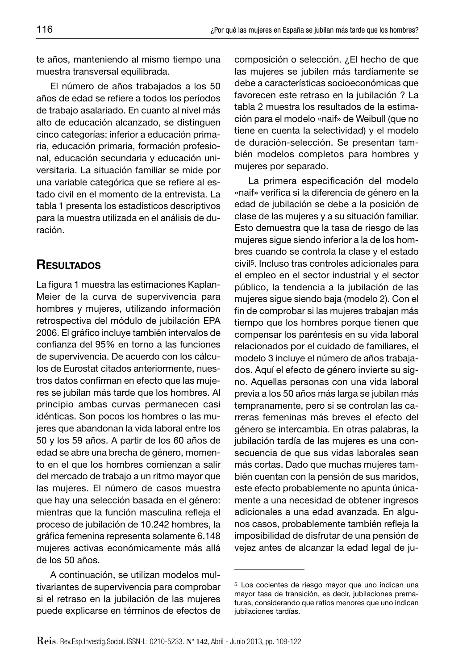te años, manteniendo al mismo tiempo una muestra transversal equilibrada.

El número de años trabajados a los 50 años de edad se refiere a todos los períodos de trabajo asalariado. En cuanto al nivel más alto de educación alcanzado, se distinguen cinco categorías: inferior a educación primaria, educación primaria, formación profesional, educación secundaria y educación universitaria. La situación familiar se mide por una variable categórica que se refiere al estado civil en el momento de la entrevista. La tabla 1 presenta los estadísticos descriptivos para la muestra utilizada en el análisis de duración.

# **RESULTADOS**

La figura 1 muestra las estimaciones Kaplan-Meier de la curva de supervivencia para hombres y mujeres, utilizando información retrospectiva del módulo de jubilación EPA 2006. El gráfico incluye también intervalos de confianza del 95% en torno a las funciones de supervivencia. De acuerdo con los cálculos de Eurostat citados anteriormente, nuestros datos confirman en efecto que las mujeres se jubilan más tarde que los hombres. Al principio ambas curvas permanecen casi idénticas. Son pocos los hombres o las mujeres que abandonan la vida laboral entre los 50 y los 59 años. A partir de los 60 años de edad se abre una brecha de género, momento en el que los hombres comienzan a salir del mercado de trabajo a un ritmo mayor que las mujeres. El número de casos muestra que hay una selección basada en el género: mientras que la función masculina refleja el proceso de jubilación de 10.242 hombres, la gráfica femenina representa solamente 6.148 mujeres activas económicamente más allá de los 50 años.

A continuación, se utilizan modelos multivariantes de supervivencia para comprobar si el retraso en la jubilación de las mujeres puede explicarse en términos de efectos de

composición o selección. ¿El hecho de que las mujeres se jubilen más tardíamente se debe a características socioeconómicas que favorecen este retraso en la jubilación ? La tabla 2 muestra los resultados de la estimación para el modelo «naif» de Weibull (que no tiene en cuenta la selectividad) y el modelo de duración-selección. Se presentan también modelos completos para hombres y mujeres por separado.

La primera especificación del modelo «naif» verifica si la diferencia de género en la edad de jubilación se debe a la posición de clase de las mujeres y a su situación familiar. Esto demuestra que la tasa de riesgo de las mujeres sigue siendo inferior a la de los hombres cuando se controla la clase y el estado civil5. Incluso tras controles adicionales para el empleo en el sector industrial y el sector público, la tendencia a la jubilación de las mujeres sigue siendo baja (modelo 2). Con el fin de comprobar si las mujeres trabajan más tiempo que los hombres porque tienen que compensar los paréntesis en su vida laboral relacionados por el cuidado de familiares, el modelo 3 incluye el número de años trabajados. Aquí el efecto de género invierte su signo. Aquellas personas con una vida laboral previa a los 50 años más larga se jubilan más tempranamente, pero si se controlan las carreras femeninas más breves el efecto del género se intercambia. En otras palabras, la jubilación tardía de las mujeres es una consecuencia de que sus vidas laborales sean más cortas. Dado que muchas mujeres también cuentan con la pensión de sus maridos, este efecto probablemente no apunta únicamente a una necesidad de obtener ingresos adicionales a una edad avanzada. En algunos casos, probablemente también refleja la imposibilidad de disfrutar de una pensión de vejez antes de alcanzar la edad legal de ju-

<sup>5</sup> Los cocientes de riesgo mayor que uno indican una mayor tasa de transición, es decir, jubilaciones prematuras, considerando que ratios menores que uno indican jubilaciones tardías.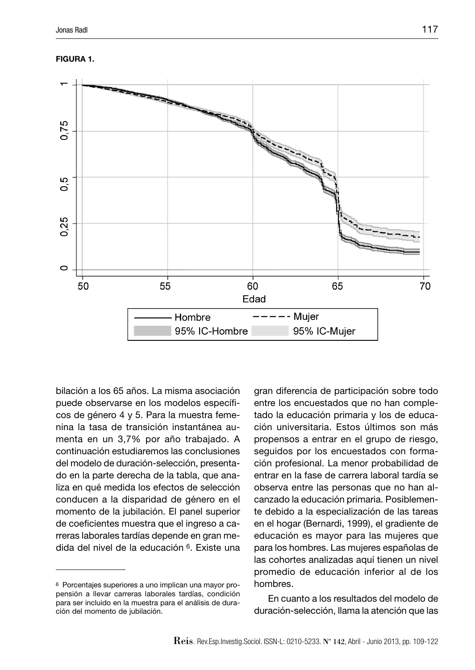**FIGURA 1.**



bilación a los 65 años. La misma asociación puede observarse en los modelos específicos de género 4 y 5. Para la muestra femenina la tasa de transición instantánea aumenta en un 3,7% por año trabajado. A continuación estudiaremos las conclusiones del modelo de duración-selección, presentado en la parte derecha de la tabla, que analiza en qué medida los efectos de selección conducen a la disparidad de género en el momento de la jubilación. El panel superior de coeficientes muestra que el ingreso a carreras laborales tardías depende en gran medida del nivel de la educación 6. Existe una

gran diferencia de participación sobre todo entre los encuestados que no han completado la educación primaria y los de educación universitaria. Estos últimos son más propensos a entrar en el grupo de riesgo, seguidos por los encuestados con formación profesional. La menor probabilidad de entrar en la fase de carrera laboral tardía se observa entre las personas que no han alcanzado la educación primaria. Posiblemente debido a la especialización de las tareas en el hogar (Bernardi, 1999), el gradiente de educación es mayor para las mujeres que para los hombres. Las mujeres españolas de las cohortes analizadas aquí tienen un nivel promedio de educación inferior al de los hombres.

En cuanto a los resultados del modelo de duración-selección, llama la atención que las

<sup>6</sup> Porcentajes superiores a uno implican una mayor propensión a llevar carreras laborales tardías, condición para ser incluido en la muestra para el análisis de duración del momento de jubilación.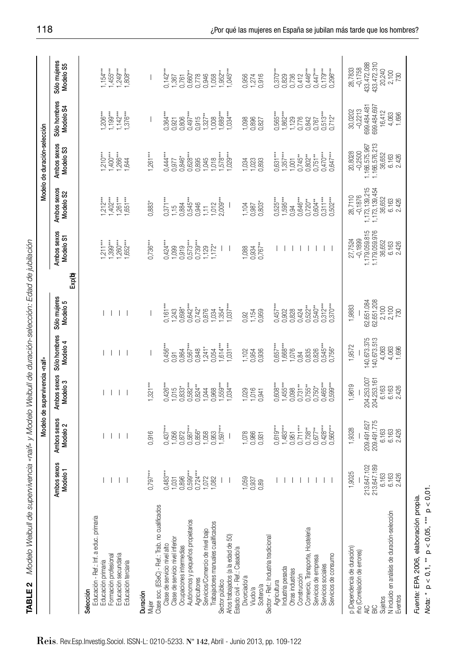| l<br>ׇ֚            |
|--------------------|
| ١                  |
|                    |
|                    |
|                    |
|                    |
|                    |
| リリート しょうしょう        |
|                    |
|                    |
|                    |
|                    |
|                    |
|                    |
|                    |
|                    |
| $\frac{1}{2}$<br>ș |
| 5<br>5<br>5<br>5   |
|                    |
|                    |
| )<br> }<br> }      |
|                    |
|                    |
|                    |
|                    |
|                    |
| ı<br>ċ             |
| ARI F<br>İ<br>Į    |

|                                                                                                                                                                                                                            |                                                                              |                                                                                                                   | Modelo de supervivencia «naif»                                         |                                                                         |                                                                        |        |                                                                                    |                                                                                    | Modelo de duración-selección                                                       |                                                                                |                                                                              |
|----------------------------------------------------------------------------------------------------------------------------------------------------------------------------------------------------------------------------|------------------------------------------------------------------------------|-------------------------------------------------------------------------------------------------------------------|------------------------------------------------------------------------|-------------------------------------------------------------------------|------------------------------------------------------------------------|--------|------------------------------------------------------------------------------------|------------------------------------------------------------------------------------|------------------------------------------------------------------------------------|--------------------------------------------------------------------------------|------------------------------------------------------------------------------|
|                                                                                                                                                                                                                            | Ambos sexos<br>Modelo <sub>1</sub>                                           | Ambos sexos<br>Modelo <sub>2</sub>                                                                                | Ambos sexos Sólo hombres<br>Modelo 3                                   | Modelo 4                                                                | Sólo mujeres<br>Modelo 5                                               | Exp(b) | Ambos sexos<br>Modelo <sub>S1</sub>                                                | Ambos sexos<br>Modelo <sub>S2</sub>                                                | Ambos sexos<br>Modelo <sub>S3</sub>                                                | Sólo hombres<br>Modelo S4                                                      | Sólo mujeres<br>Modelo <sub>S5</sub>                                         |
| Educación - Ref.: Inf. a educ. primaria<br>Formación profesional<br>Educación secundaria<br>Educación primaria<br>Educación terciaria<br>Selección                                                                         |                                                                              |                                                                                                                   | $\overline{1}$<br>- 1                                                  | $\mathbf{I}$<br>I.                                                      | $\mathbf{I}$                                                           |        | ,399***<br>1,260***<br>$211***$                                                    | $,402***$<br>$1,261***$<br>$.212***$<br>$,651***$                                  | $1,400***$<br>$1,266***$<br>1,644<br>$.210***$                                     | $1,199***$<br>$1,142***$<br>$,206***$                                          | $1,455***$<br>$1,249***$<br>$1,154***$                                       |
| Clase soc. (ESeC) - Ref.: Trab. no cualificados<br>Duración<br>Mujer                                                                                                                                                       | $0.797***$                                                                   | 0,916                                                                                                             | $1,321***$                                                             | I                                                                       |                                                                        |        | $0,736***$                                                                         | 0,883*                                                                             | $1,261***$                                                                         | I                                                                              | I                                                                            |
| Autónomos y pequeños propietarios<br>Trabajadores manuales cualificados<br>Servicios/Comercio de nivel bajo<br>Clase de servicio nivel inferior<br>Clase de servicio nivel alto<br>Ocupaciones intermedias<br>Agricultores | $0,896$<br>$0,599***$<br>$0,724***$<br>$0,483***$<br>1,072<br>1,031<br>1,082 | $0,587***$<br>$0,437***$<br>$\begin{array}{c} 1,058 \\ 0,953 \\ 1,597*** \end{array}$<br>0,856*<br>1,056<br>0,872 | $3,582***$<br>$0,426***$<br>$0,824**$<br>0,833*<br>015<br>0,968<br>044 | $0,456***$<br>$0,567***$<br>$1,241*$<br>0,864<br>0,848<br>0,054<br>0,91 | $0,161***$<br>$0.642***$<br>0,698*<br>$0,742*$<br>,243<br>0,876<br>034 |        | $0,919$<br>$0,573***$<br>$2,739***$<br>$0,424***$<br>1,099<br>$1,129$<br>$1,172$ * | $0,545***$<br>$0,371***$<br>0,884<br>0,946<br>1,012<br>1,15<br>E                   | $0,444***$<br>$0,628***$<br>0,846*<br>0,895<br>1,045<br>0,977                      | $0,364***$<br>$0,497***$<br>$1,327**$<br>0,806<br>0,915<br>0,921               | $0,142***$<br>$0,660**$<br>1,367<br>0,946<br>1,058<br>0,778<br>0,761         |
| Años trabajados (a la edad de 50)<br>Estado civil - Ref.: Casado/a<br>Divorciado/a<br>Sector público<br>Soltero/a<br>Viudo/a                                                                                               | 1,059<br>0,937<br>0,89                                                       | 1,078<br>0,986<br>0,931                                                                                           | ,559***<br>$,034***$<br>1,016<br>1,029<br>0,941                        | $1,614***$<br>$1,031***$<br>0,936<br>0,954<br>1,102                     | $1,037***$<br>$1.354*$<br>0,959<br>1,154<br>0,92                       |        | 0,934<br>0,767**<br>,088                                                           | $2,009***$<br>0,803*<br>1,104<br>0,987                                             | $1,578***$<br>$1,029***$<br>$1,023$<br>$0,893$<br>034                              | $1,689***$<br>1,098<br>0,896<br>0,827                                          | $1,045***$<br>$1,952**$<br>0,916<br>0,956<br>1,274                           |
| Sector - Ref.: Industria tradicional<br>Industria pesada<br>Agricultura                                                                                                                                                    |                                                                              | $0,619***$<br>$1,483***$<br>0,951                                                                                 | $0,608***$<br>$,455***$                                                | $0,657***$<br>1,668***                                                  | $0,457***$<br>0,902                                                    |        |                                                                                    | $0,525***$<br>1,595***                                                             | $0,631***$<br>$1,357***$                                                           | 1,862***<br>$0,565***$                                                         | $0,370***$<br>0,829                                                          |
| Comercio, Transporte, Hostelería<br>Otras industrias<br>Construcción                                                                                                                                                       |                                                                              | $0,711***$<br>$0,738**$                                                                                           | $0,731***$<br>$2,755***$<br>0,098                                      | 1,076<br>0,835<br>0,84                                                  | $0,522***$<br>0,828<br>0,424                                           |        |                                                                                    | $0,646***$<br>$0,720**$<br>0,94                                                    | $0,802***$<br>$0,745**$<br>1,001                                                   | 1,129<br>0,776<br>0,842                                                        | $0,446***$<br>0,736<br>0,412                                                 |
| Servicios de consumo<br>Servicios de empresa<br>Servicios sociales                                                                                                                                                         |                                                                              | $0,428***$<br>$0,560***$<br>$0,677**$                                                                             | $0,465***$<br>$0,599***$<br>$0,750*$                                   | $0,545***$<br>$0,756*$<br>0,826                                         | $0,312***$<br>$0,370***$<br>$0,540**$                                  |        |                                                                                    | $0,311***$<br>$0,502***$<br>$0,604***$                                             | $0,470***$<br>$0,647***$<br>$0,751**$                                              | $0,513***$<br>$0,712*$<br>0,767                                                | $0,179***$<br>$0,447***$<br>$0,296***$                                       |
| N incluido en análisis de duración-selección<br>p (Dependencia de duración)<br>rho (Correlación de errores)<br>Eventos<br>Sujetos<br>BIC<br>$rac{1}{4}$                                                                    | 213.647.102<br>213.647.189<br>1,9025<br>6.163<br>6.163<br>2.426              | 209.491.775<br>209.491.627<br>1,9328<br>6.188<br>6.188<br>6.426                                                   | 204.253.007<br>204.253.161<br>1,9619<br>6.163<br>6.163<br>2.426        | 140.673.375<br>140.673.513<br>1,9572<br>4,063<br>4,063<br>1.696         | 62.651.208<br>62.651.084<br>1,9883<br>$2,100$<br>$2,100$<br>730        |        | 1.179.059.815<br>1.179.059.976<br>27,7524<br>$-0,1899$<br>36,652<br>6.163<br>2.426 | 1,173,139,215<br>1,173,139,454<br>28,7110<br>$-0,1876$<br>36,652<br>6.163<br>2.426 | 1.166.576.213<br>1.166.575.967<br>20,8028<br>$-0,2500$<br>36,652<br>6.163<br>2.426 | 699.484.697<br>699.484.481<br>$-0,2213$<br>30,0202<br>16,412<br>4,063<br>1,696 | 433.472.310<br>433.472.088<br>28,7833<br>$-0,1758$<br>20,240<br>2,100<br>730 |

Fuente: EPA 2006, elaboración propia.<br>Mota: \* p < 0,1, \*\* p < 0,05, \*\*\* p < 0,01. *Nota:* \* p < 0,1, \*\* p < 0,05, \*\*\* p < 0,01. *Fuente:* EPA 2006, elaboración propia.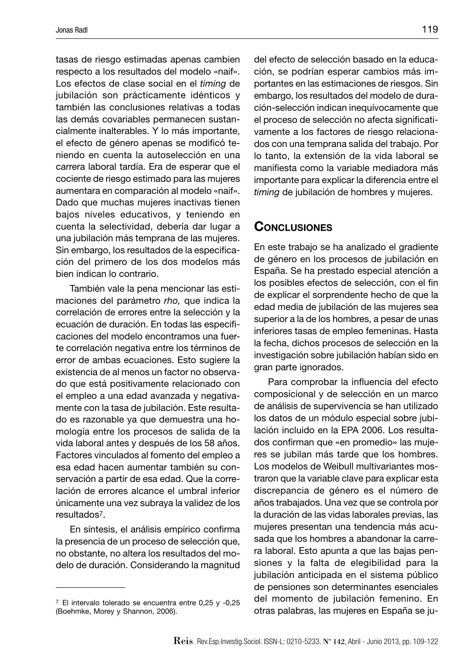tasas de riesgo estimadas apenas cambien respecto a los resultados del modelo «naif». Los efectos de clase social en el *timing* de jubilación son prácticamente idénticos y también las conclusiones relativas a todas las demás covariables permanecen sustancialmente inalterables. Y lo más importante, el efecto de género apenas se modificó teniendo en cuenta la autoselección en una carrera laboral tardía. Era de esperar que el cociente de riesgo estimado para las mujeres aumentara en comparación al modelo «naif». Dado que muchas mujeres inactivas tienen bajos niveles educativos, y teniendo en cuenta la selectividad, debería dar lugar a una jubilación más temprana de las mujeres. Sin embargo, los resultados de la especificación del primero de los dos modelos más bien indican lo contrario.

También vale la pena mencionar las estimaciones del parámetro *rho,* que indica la correlación de errores entre la selección y la ecuación de duración. En todas las especificaciones del modelo encontramos una fuerte correlación negativa entre los términos de error de ambas ecuaciones. Esto sugiere la existencia de al menos un factor no observado que está positivamente relacionado con el empleo a una edad avanzada y negativamente con la tasa de jubilación. Este resultado es razonable ya que demuestra una homología entre los procesos de salida de la vida laboral antes y después de los 58 años. Factores vinculados al fomento del empleo a esa edad hacen aumentar también su conservación a partir de esa edad. Que la correlación de errores alcance el umbral inferior únicamente una vez subraya la validez de los resultados7.

En síntesis, el análisis empírico confirma la presencia de un proceso de selección que, no obstante, no altera los resultados del modelo de duración. Considerando la magnitud del efecto de selección basado en la educación, se podrían esperar cambios más importantes en las estimaciones de riesgos. Sin embargo, los resultados del modelo de duración-selección indican inequívocamente que el proceso de selección no afecta significativamente a los factores de riesgo relacionados con una temprana salida del trabajo. Por lo tanto, la extensión de la vida laboral se manifiesta como la variable mediadora más importante para explicar la diferencia entre el *timing* de jubilación de hombres y mujeres.

## **CONCLUSIONES**

En este trabajo se ha analizado el gradiente de género en los procesos de jubilación en España. Se ha prestado especial atención a los posibles efectos de selección, con el fin de explicar el sorprendente hecho de que la edad media de jubilación de las mujeres sea superior a la de los hombres, a pesar de unas inferiores tasas de empleo femeninas. Hasta la fecha, dichos procesos de selección en la investigación sobre jubilación habían sido en gran parte ignorados.

Para comprobar la influencia del efecto composicional y de selección en un marco de análisis de supervivencia se han utilizado los datos de un módulo especial sobre jubilación incluido en la EPA 2006. Los resultados confirman que «en promedio» las mujeres se jubilan más tarde que los hombres. Los modelos de Weibull multivariantes mostraron que la variable clave para explicar esta discrepancia de género es el número de años trabajados. Una vez que se controla por la duración de las vidas laborales previas, las mujeres presentan una tendencia más acusada que los hombres a abandonar la carrera laboral. Esto apunta a que las bajas pensiones y la falta de elegibilidad para la jubilación anticipada en el sistema público de pensiones son determinantes esenciales del momento de jubilación femenino. En otras palabras, las mujeres en España se ju-

<sup>7</sup> El intervalo tolerado se encuentra entre 0,25 y -0,25 (Boehmke, Morey y Shannon, 2006).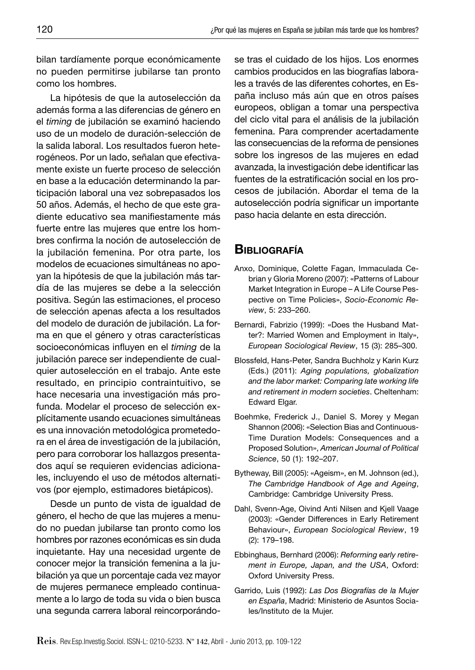bilan tardíamente porque económicamente no pueden permitirse jubilarse tan pronto como los hombres.

La hipótesis de que la autoselección da además forma a las diferencias de género en el *timing* de jubilación se examinó haciendo uso de un modelo de duración-selección de la salida laboral. Los resultados fueron heterogéneos. Por un lado, señalan que efectivamente existe un fuerte proceso de selección en base a la educación determinando la participación laboral una vez sobrepasados los 50 años. Además, el hecho de que este gradiente educativo sea manifiestamente más fuerte entre las mujeres que entre los hombres confirma la noción de autoselección de la jubilación femenina. Por otra parte, los modelos de ecuaciones simultáneas no apoyan la hipótesis de que la jubilación más tardía de las mujeres se debe a la selección positiva. Según las estimaciones, el proceso de selección apenas afecta a los resultados del modelo de duración de jubilación. La forma en que el género y otras características socioeconómicas influyen en el *timing* de la jubilación parece ser independiente de cualquier autoselección en el trabajo. Ante este resultado, en principio contraintuitivo, se hace necesaria una investigación más profunda. Modelar el proceso de selección explícitamente usando ecuaciones simultáneas es una innovación metodológica prometedora en el área de investigación de la jubilación, pero para corroborar los hallazgos presentados aquí se requieren evidencias adicionales, incluyendo el uso de métodos alternativos (por ejemplo, estimadores bietápicos).

Desde un punto de vista de igualdad de género, el hecho de que las mujeres a menudo no puedan jubilarse tan pronto como los hombres por razones económicas es sin duda inquietante. Hay una necesidad urgente de conocer mejor la transición femenina a la jubilación ya que un porcentaje cada vez mayor de mujeres permanece empleado continuamente a lo largo de toda su vida o bien busca una segunda carrera laboral reincorporándose tras el cuidado de los hijos. Los enormes cambios producidos en las biografías laborales a través de las diferentes cohortes, en España incluso más aún que en otros países europeos, obligan a tomar una perspectiva del ciclo vital para el análisis de la jubilación femenina. Para comprender acertadamente las consecuencias de la reforma de pensiones sobre los ingresos de las mujeres en edad avanzada, la investigación debe identificar las fuentes de la estratificación social en los procesos de jubilación. Abordar el tema de la autoselección podría significar un importante paso hacia delante en esta dirección.

# **BIBLIOGRAFÍA**

- Anxo, Dominique, Colette Fagan, Immaculada Cebrian y Gloria Moreno (2007): «Patterns of Labour Market Integration in Europe – A Life Course Pespective on Time Policies», *Socio-Economic Review*, 5: 233–260.
- Bernardi, Fabrizio (1999): «Does the Husband Matter?: Married Women and Employment in Italy», *European Sociological Review*, 15 (3): 285–300.
- Blossfeld, Hans-Peter, Sandra Buchholz y Karin Kurz (Eds.) (2011): *Aging populations, globalization and the labor market: Comparing late working life and retirement in modern societies*. Cheltenham: Edward Elgar.
- Boehmke, Frederick J., Daniel S. Morey y Megan Shannon (2006): «Selection Bias and Continuous-Time Duration Models: Consequences and a Proposed Solution», *American Journal of Political Science*, 50 (1): 192–207.
- Bytheway, Bill (2005): «Ageism», en M. Johnson (ed.), *The Cambridge Handbook of Age and Ageing*, Cambridge: Cambridge University Press.
- Dahl, Svenn-Age, Oivind Anti Nilsen and Kjell Vaage (2003): «Gender Differences in Early Retirement Behaviour», *European Sociological Review*, 19 (2): 179–198.
- Ebbinghaus, Bernhard (2006): *Reforming early retirement in Europe, Japan, and the USA*, Oxford: Oxford University Press.
- Garrido, Luis (1992): *Las Dos Biografías de la Mujer en España*, Madrid: Ministerio de Asuntos Sociales/Instituto de la Mujer.